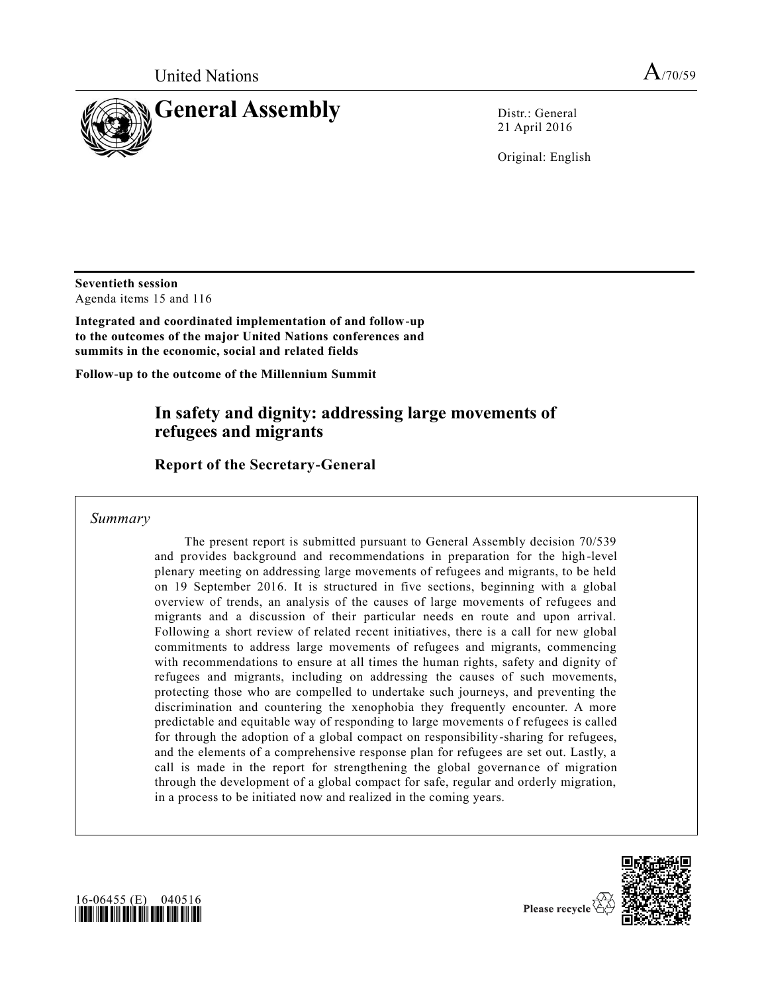

21 April 2016

Original: English

**Seventieth session** Agenda items 15 and 116

**Integrated and coordinated implementation of and follow-up to the outcomes of the major United Nations conferences and summits in the economic, social and related fields**

**Follow-up to the outcome of the Millennium Summit**

# **In safety and dignity: addressing large movements of refugees and migrants**

**Report of the Secretary-General** 

*Summary*

The present report is submitted pursuant to General Assembly decision 70/539 and provides background and recommendations in preparation for the high -level plenary meeting on addressing large movements of refugees and migrants, to be held on 19 September 2016. It is structured in five sections, beginning with a global overview of trends, an analysis of the causes of large movements of refugees and migrants and a discussion of their particular needs en route and upon arrival. Following a short review of related recent initiatives, there is a call for new global commitments to address large movements of refugees and migrants, commencing with recommendations to ensure at all times the human rights, safety and dignity of refugees and migrants, including on addressing the causes of such movements, protecting those who are compelled to undertake such journeys, and preventing the discrimination and countering the xenophobia they frequently encounter. A more predictable and equitable way of responding to large movements of refugees is called for through the adoption of a global compact on responsibility-sharing for refugees, and the elements of a comprehensive response plan for refugees are set out. Lastly, a call is made in the report for strengthening the global governance of migration through the development of a global compact for safe, regular and orderly migration, in a process to be initiated now and realized in the coming years.





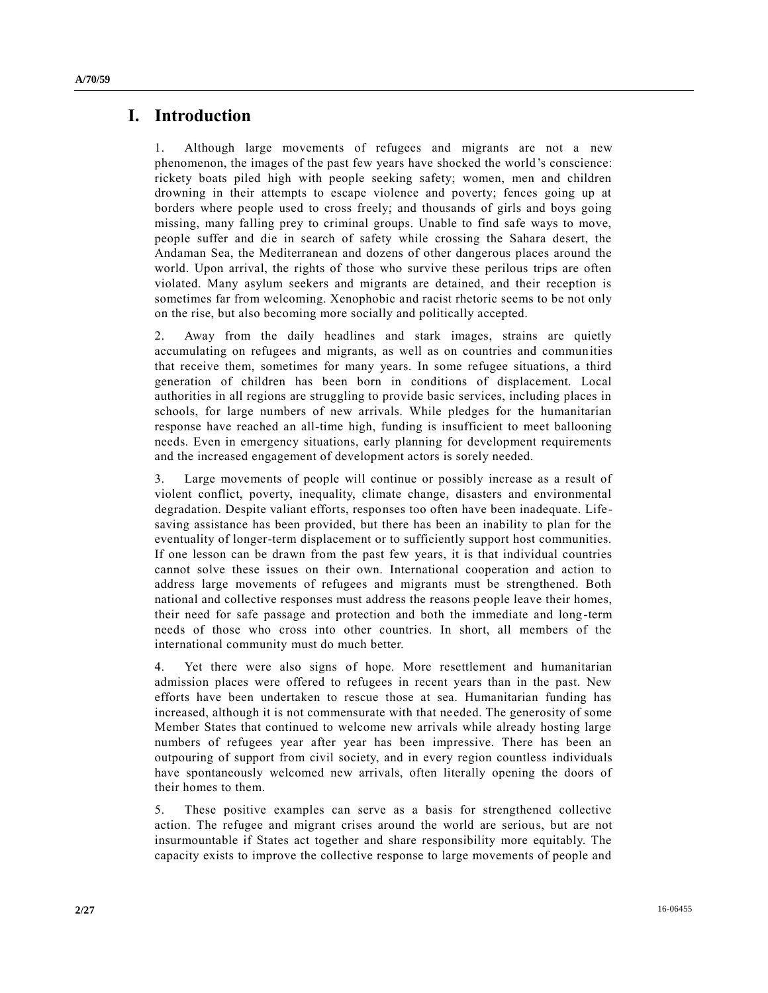## **I. Introduction**

1. Although large movements of refugees and migrants are not a new phenomenon, the images of the past few years have shocked the world's conscience: rickety boats piled high with people seeking safety; women, men and children drowning in their attempts to escape violence and poverty; fences going up at borders where people used to cross freely; and thousands of girls and boys going missing, many falling prey to criminal groups. Unable to find safe ways to move, people suffer and die in search of safety while crossing the Sahara desert, the Andaman Sea, the Mediterranean and dozens of other dangerous places around the world. Upon arrival, the rights of those who survive these perilous trips are often violated. Many asylum seekers and migrants are detained, and their reception is sometimes far from welcoming. Xenophobic and racist rhetoric seems to be not only on the rise, but also becoming more socially and politically accepted.

2. Away from the daily headlines and stark images, strains are quietly accumulating on refugees and migrants, as well as on countries and communities that receive them, sometimes for many years. In some refugee situations, a third generation of children has been born in conditions of displacement. Local authorities in all regions are struggling to provide basic services, including places in schools, for large numbers of new arrivals. While pledges for the humanitarian response have reached an all-time high, funding is insufficient to meet ballooning needs. Even in emergency situations, early planning for development requirements and the increased engagement of development actors is sorely needed.

3. Large movements of people will continue or possibly increase as a result of violent conflict, poverty, inequality, climate change, disasters and environmental degradation. Despite valiant efforts, responses too often have been inadequate. Lifesaving assistance has been provided, but there has been an inability to plan for the eventuality of longer-term displacement or to sufficiently support host communities. If one lesson can be drawn from the past few years, it is that individual countries cannot solve these issues on their own. International cooperation and action to address large movements of refugees and migrants must be strengthened. Both national and collective responses must address the reasons people leave their homes, their need for safe passage and protection and both the immediate and long-term needs of those who cross into other countries. In short, all members of the international community must do much better.

4. Yet there were also signs of hope. More resettlement and humanitarian admission places were offered to refugees in recent years than in the past. New efforts have been undertaken to rescue those at sea. Humanitarian funding has increased, although it is not commensurate with that needed. The generosity of some Member States that continued to welcome new arrivals while already hosting large numbers of refugees year after year has been impressive. There has been an outpouring of support from civil society, and in every region countless individuals have spontaneously welcomed new arrivals, often literally opening the doors of their homes to them.

5. These positive examples can serve as a basis for strengthened collective action. The refugee and migrant crises around the world are serious, but are not insurmountable if States act together and share responsibility more equitably. The capacity exists to improve the collective response to large movements of people and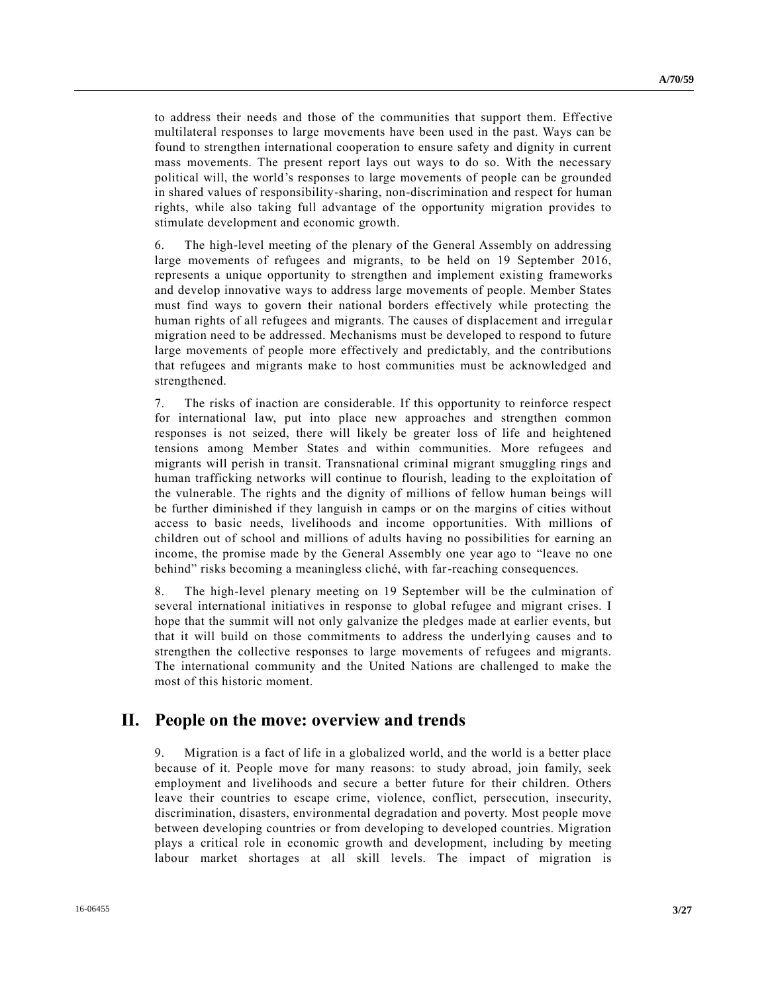to address their needs and those of the communities that support them. Effective multilateral responses to large movements have been used in the past. Ways can be found to strengthen international cooperation to ensure safety and dignity in current mass movements. The present report lays out ways to do so. With the necessary political will, the world's responses to large movements of people can be grounded in shared values of responsibility-sharing, non-discrimination and respect for human rights, while also taking full advantage of the opportunity migration provides to stimulate development and economic growth.

6. The high-level meeting of the plenary of the General Assembly on addressing large movements of refugees and migrants, to be held on 19 September 2016, represents a unique opportunity to strengthen and implement existing frameworks and develop innovative ways to address large movements of people. Member States must find ways to govern their national borders effectively while protecting the human rights of all refugees and migrants. The causes of displacement and irregular migration need to be addressed. Mechanisms must be developed to respond to future large movements of people more effectively and predictably, and the contributions that refugees and migrants make to host communities must be acknowledged and strengthened.

7. The risks of inaction are considerable. If this opportunity to reinforce respect for international law, put into place new approaches and strengthen common responses is not seized, there will likely be greater loss of life and heightened tensions among Member States and within communities. More refugees and migrants will perish in transit. Transnational criminal migrant smuggling rings and human trafficking networks will continue to flourish, leading to the exploitation of the vulnerable. The rights and the dignity of millions of fellow human beings will be further diminished if they languish in camps or on the margins of cities without access to basic needs, livelihoods and income opportunities. With millions of children out of school and millions of adults having no possibilities for earning an income, the promise made by the General Assembly one year ago to "leave no one behind" risks becoming a meaningless cliché, with far-reaching consequences.

8. The high-level plenary meeting on 19 September will be the culmination of several international initiatives in response to global refugee and migrant crises. I hope that the summit will not only galvanize the pledges made at earlier events, but that it will build on those commitments to address the underlying causes and to strengthen the collective responses to large movements of refugees and migrants. The international community and the United Nations are challenged to make the most of this historic moment.

## **II. People on the move: overview and trends**

9. Migration is a fact of life in a globalized world, and the world is a better place because of it. People move for many reasons: to study abroad, join family, seek employment and livelihoods and secure a better future for their children. Others leave their countries to escape crime, violence, conflict, persecution, insecurity, discrimination, disasters, environmental degradation and poverty. Most people move between developing countries or from developing to developed countries. Migration plays a critical role in economic growth and development, including by meeting labour market shortages at all skill levels. The impact of migration is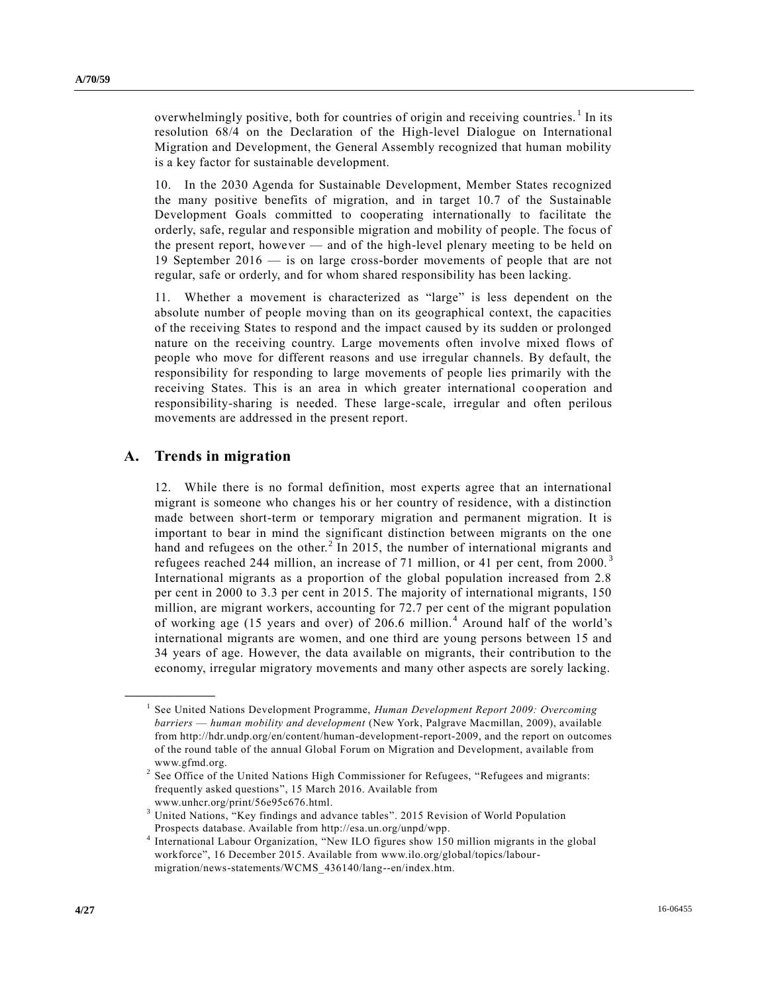overwhelmingly positive, both for countries of origin and receiving countries.<sup>1</sup> In its resolution 68/4 on the Declaration of the High-level Dialogue on International Migration and Development, the General Assembly recognized that human mobility is a key factor for sustainable development.

10. In the 2030 Agenda for Sustainable Development, Member States recognized the many positive benefits of migration, and in target 10.7 of the Sustainable Development Goals committed to cooperating internationally to facilitate the orderly, safe, regular and responsible migration and mobility of people. The focus of the present report, however — and of the high-level plenary meeting to be held on 19 September 2016 — is on large cross-border movements of people that are not regular, safe or orderly, and for whom shared responsibility has been lacking.

11. Whether a movement is characterized as "large" is less dependent on the absolute number of people moving than on its geographical context, the capacities of the receiving States to respond and the impact caused by its sudden or prolonged nature on the receiving country. Large movements often involve mixed flows of people who move for different reasons and use irregular channels. By default, the responsibility for responding to large movements of people lies primarily with the receiving States. This is an area in which greater international cooperation and responsibility-sharing is needed. These large-scale, irregular and often perilous movements are addressed in the present report.

## **A. Trends in migration**

**\_\_\_\_\_\_\_\_\_\_\_\_\_\_\_\_\_\_**

12. While there is no formal definition, most experts agree that an international migrant is someone who changes his or her country of residence, with a distinction made between short-term or temporary migration and permanent migration. It is important to bear in mind the significant distinction between migrants on the one hand and refugees on the other.<sup>2</sup> In 2015, the number of international migrants and refugees reached 244 million, an increase of 71 million, or 41 per cent, from 2000. <sup>3</sup> International migrants as a proportion of the global population increased from 2.8 per cent in 2000 to 3.3 per cent in 2015. The majority of international migrants, 150 million, are migrant workers, accounting for 72.7 per cent of the migrant population of working age (15 years and over) of 206.6 million. <sup>4</sup> Around half of the world's international migrants are women, and one third are young persons between 15 and 34 years of age. However, the data available on migrants, their contribution to the economy, irregular migratory movements and many other aspects are sorely lacking.

<sup>&</sup>lt;sup>1</sup> See United Nations Development Programme, *Human Development Report 2009: Overcoming barriers* — *human mobility and development* (New York, Palgrave Macmillan, 2009), available from http://hdr.undp.org/en/content/human-development-report-2009, and the report on outcomes of the round table of the annual Global Forum on Migration and Development, available from www.gfmd.org.

<sup>&</sup>lt;sup>2</sup> See Office of the United Nations High Commissioner for Refugees, "Refugees and migrants: frequently asked questions", 15 March 2016. Available from www.unhcr.org/print/56e95c676.html.

<sup>&</sup>lt;sup>3</sup> United Nations, "Key findings and advance tables". 2015 Revision of World Population Prospects database. Available from http://esa.un.org/unpd/wpp.

<sup>4</sup> International Labour Organization, "New ILO figures show 150 million migrants in the global workforce", 16 December 2015. Available from www.ilo.org/global/topics/labourmigration/news-statements/WCMS\_436140/lang--en/index.htm.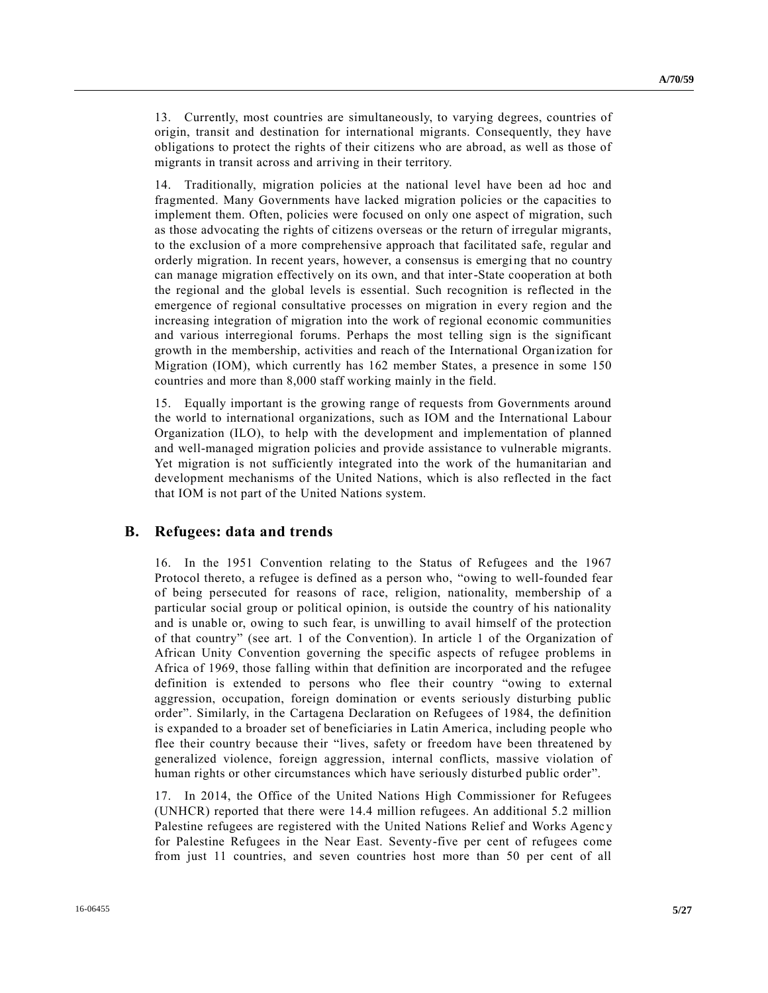13. Currently, most countries are simultaneously, to varying degrees, countries of origin, transit and destination for international migrants. Consequently, they have obligations to protect the rights of their citizens who are abroad, as well as those of migrants in transit across and arriving in their territory.

14. Traditionally, migration policies at the national level have been ad hoc and fragmented. Many Governments have lacked migration policies or the capacities to implement them. Often, policies were focused on only one aspect of migration, such as those advocating the rights of citizens overseas or the return of irregular migrants, to the exclusion of a more comprehensive approach that facilitated safe, regular and orderly migration. In recent years, however, a consensus is emerging that no country can manage migration effectively on its own, and that inter-State cooperation at both the regional and the global levels is essential. Such recognition is reflected in the emergence of regional consultative processes on migration in every region and the increasing integration of migration into the work of regional economic communities and various interregional forums. Perhaps the most telling sign is the significant growth in the membership, activities and reach of the International Organization for Migration (IOM), which currently has 162 member States, a presence in some 150 countries and more than 8,000 staff working mainly in the field.

15. Equally important is the growing range of requests from Governments around the world to international organizations, such as IOM and the International Labour Organization (ILO), to help with the development and implementation of planned and well-managed migration policies and provide assistance to vulnerable migrants. Yet migration is not sufficiently integrated into the work of the humanitarian and development mechanisms of the United Nations, which is also reflected in the fact that IOM is not part of the United Nations system.

#### **B. Refugees: data and trends**

16. In the 1951 Convention relating to the Status of Refugees and the 1967 Protocol thereto, a refugee is defined as a person who, "owing to well-founded fear of being persecuted for reasons of race, religion, nationality, membership of a particular social group or political opinion, is outside the country of his nationality and is unable or, owing to such fear, is unwilling to avail himself of the protection of that country" (see art. 1 of the Convention). In article 1 of the Organization of African Unity Convention governing the specific aspects of refugee problems in Africa of 1969, those falling within that definition are incorporated and the refugee definition is extended to persons who flee their country "owing to external aggression, occupation, foreign domination or events seriously disturbing public order". Similarly, in the Cartagena Declaration on Refugees of 1984, the definition is expanded to a broader set of beneficiaries in Latin America, including people who flee their country because their "lives, safety or freedom have been threatened by generalized violence, foreign aggression, internal conflicts, massive violation of human rights or other circumstances which have seriously disturbed public order".

17. In 2014, the Office of the United Nations High Commissioner for Refugees (UNHCR) reported that there were 14.4 million refugees. An additional 5.2 million Palestine refugees are registered with the United Nations Relief and Works Agency for Palestine Refugees in the Near East. Seventy-five per cent of refugees come from just 11 countries, and seven countries host more than 50 per cent of all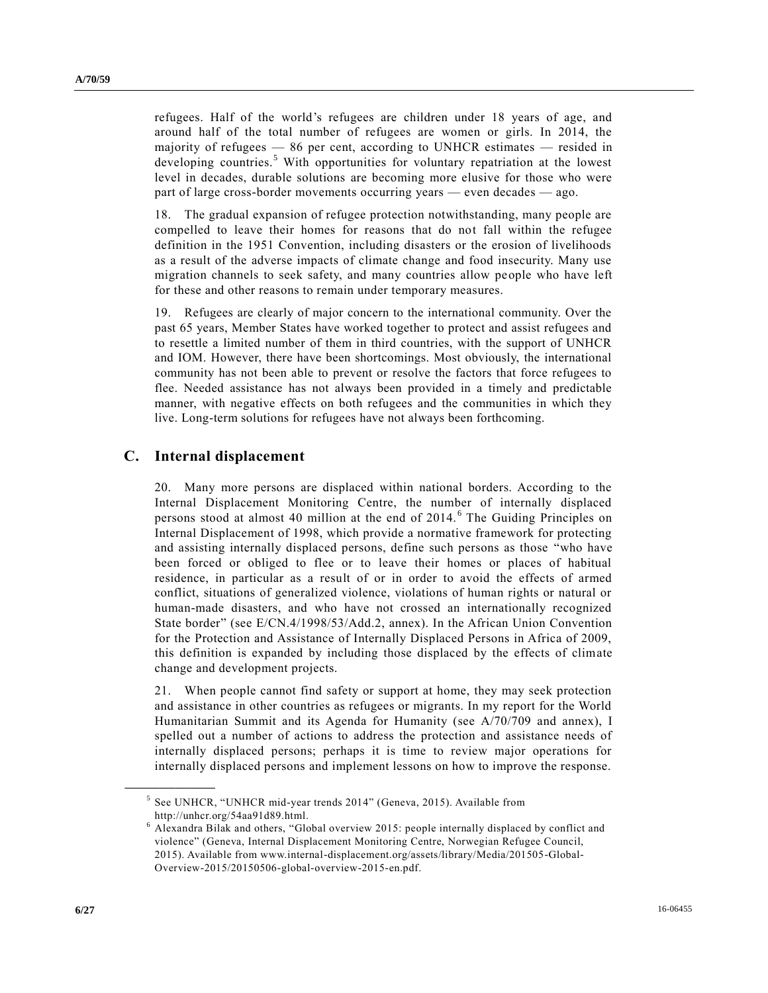refugees. Half of the world's refugees are children under 18 years of age, and around half of the total number of refugees are women or girls. In 2014, the majority of refugees — 86 per cent, according to UNHCR estimates — resided in developing countries.<sup>5</sup> With opportunities for voluntary repatriation at the lowest level in decades, durable solutions are becoming more elusive for those who were part of large cross-border movements occurring years — even decades — ago.

18. The gradual expansion of refugee protection notwithstanding, many people are compelled to leave their homes for reasons that do not fall within the refugee definition in the 1951 Convention, including disasters or the erosion of livelihoods as a result of the adverse impacts of climate change and food insecurity. Many use migration channels to seek safety, and many countries allow people who have left for these and other reasons to remain under temporary measures.

19. Refugees are clearly of major concern to the international community. Over the past 65 years, Member States have worked together to protect and assist refugees and to resettle a limited number of them in third countries, with the support of UNHCR and IOM. However, there have been shortcomings. Most obviously, the international community has not been able to prevent or resolve the factors that force refugees to flee. Needed assistance has not always been provided in a timely and predictable manner, with negative effects on both refugees and the communities in which they live. Long-term solutions for refugees have not always been forthcoming.

#### **C. Internal displacement**

**\_\_\_\_\_\_\_\_\_\_\_\_\_\_\_\_\_\_**

20. Many more persons are displaced within national borders. According to the Internal Displacement Monitoring Centre, the number of internally displaced persons stood at almost 40 million at the end of 2014. <sup>6</sup> The Guiding Principles on Internal Displacement of 1998, which provide a normative framework for protecting and assisting internally displaced persons, define such persons as those "who have been forced or obliged to flee or to leave their homes or places of habitual residence, in particular as a result of or in order to avoid the effects of armed conflict, situations of generalized violence, violations of human rights or natural or human-made disasters, and who have not crossed an internationally recognized State border" (see [E/CN.4/1998/53/Add.2,](http://undocs.org/E/CN.4/1998/53/Add.2) annex). In the African Union Convention for the Protection and Assistance of Internally Displaced Persons in Africa of 2009, this definition is expanded by including those displaced by the effects of climate change and development projects.

21. When people cannot find safety or support at home, they may seek protection and assistance in other countries as refugees or migrants. In my report for the World Humanitarian Summit and its Agenda for Humanity (see [A/70/709](http://undocs.org/A/70/709) and annex), I spelled out a number of actions to address the protection and assistance needs of internally displaced persons; perhaps it is time to review major operations for internally displaced persons and implement lessons on how to improve the response.

<sup>&</sup>lt;sup>5</sup> See UNHCR, "UNHCR mid-year trends 2014" (Geneva, 2015). Available from http://unhcr.org/54aa91d89.html.

<sup>6</sup> Alexandra Bilak and others, "Global overview 2015: people internally displaced by conflict and violence" (Geneva, Internal Displacement Monitoring Centre, Norwegian Refugee Council, 2015). Available from www.internal-displacement.org/assets/library/Media/201505-Global-Overview-2015/20150506-global-overview-2015-en.pdf.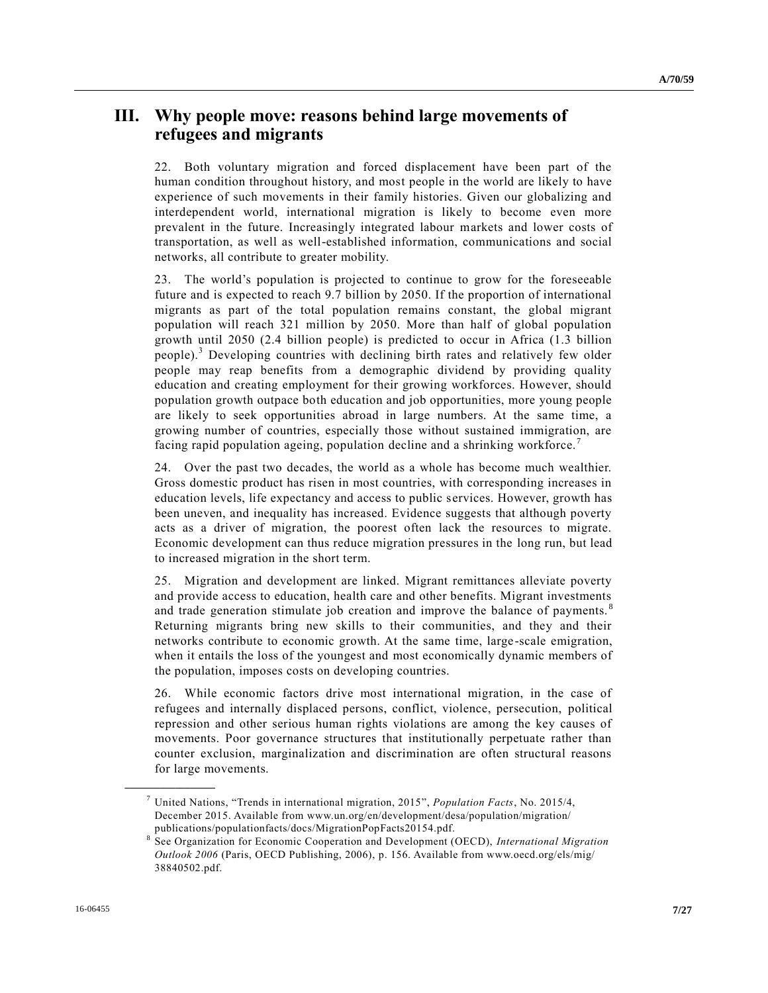# **III. Why people move: reasons behind large movements of refugees and migrants**

22. Both voluntary migration and forced displacement have been part of the human condition throughout history, and most people in the world are likely to have experience of such movements in their family histories. Given our globalizing and interdependent world, international migration is likely to become even more prevalent in the future. Increasingly integrated labour markets and lower costs of transportation, as well as well-established information, communications and social networks, all contribute to greater mobility.

23. The world's population is projected to continue to grow for the foreseeable future and is expected to reach 9.7 billion by 2050. If the proportion of international migrants as part of the total population remains constant, the global migrant population will reach 321 million by 2050. More than half of global population growth until 2050 (2.4 billion people) is predicted to occur in Africa (1.3 billion people).<sup>3</sup> Developing countries with declining birth rates and relatively few older people may reap benefits from a demographic dividend by providing quality education and creating employment for their growing workforces. However, should population growth outpace both education and job opportunities, more young people are likely to seek opportunities abroad in large numbers. At the same time, a growing number of countries, especially those without sustained immigration, are facing rapid population ageing, population decline and a shrinking workforce.

24. Over the past two decades, the world as a whole has become much wealthier. Gross domestic product has risen in most countries, with corresponding increases in education levels, life expectancy and access to public services. However, growth has been uneven, and inequality has increased. Evidence suggests that although poverty acts as a driver of migration, the poorest often lack the resources to migrate. Economic development can thus reduce migration pressures in the long run, but lead to increased migration in the short term.

25. Migration and development are linked. Migrant remittances alleviate poverty and provide access to education, health care and other benefits. Migrant investments and trade generation stimulate job creation and improve the balance of payments.<sup>8</sup> Returning migrants bring new skills to their communities, and they and their networks contribute to economic growth. At the same time, large -scale emigration, when it entails the loss of the youngest and most economically dynamic members of the population, imposes costs on developing countries.

26. While economic factors drive most international migration, in the case of refugees and internally displaced persons, conflict, violence, persecution, political repression and other serious human rights violations are among the key causes of movements. Poor governance structures that institutionally perpetuate rather than counter exclusion, marginalization and discrimination are often structural reasons for large movements.

<sup>7</sup> United Nations, "Trends in international migration, 2015", *Population Facts*, No. 2015/4, December 2015. Available from www.un.org/en/development/desa/population/migration/ publications/populationfacts/docs/MigrationPopFacts20154.pdf.

<sup>8</sup> See Organization for Economic Cooperation and Development (OECD), *International Migration Outlook 2006* (Paris, OECD Publishing, 2006), p. 156. Available from www.oecd.org/els/mig/ 38840502.pdf.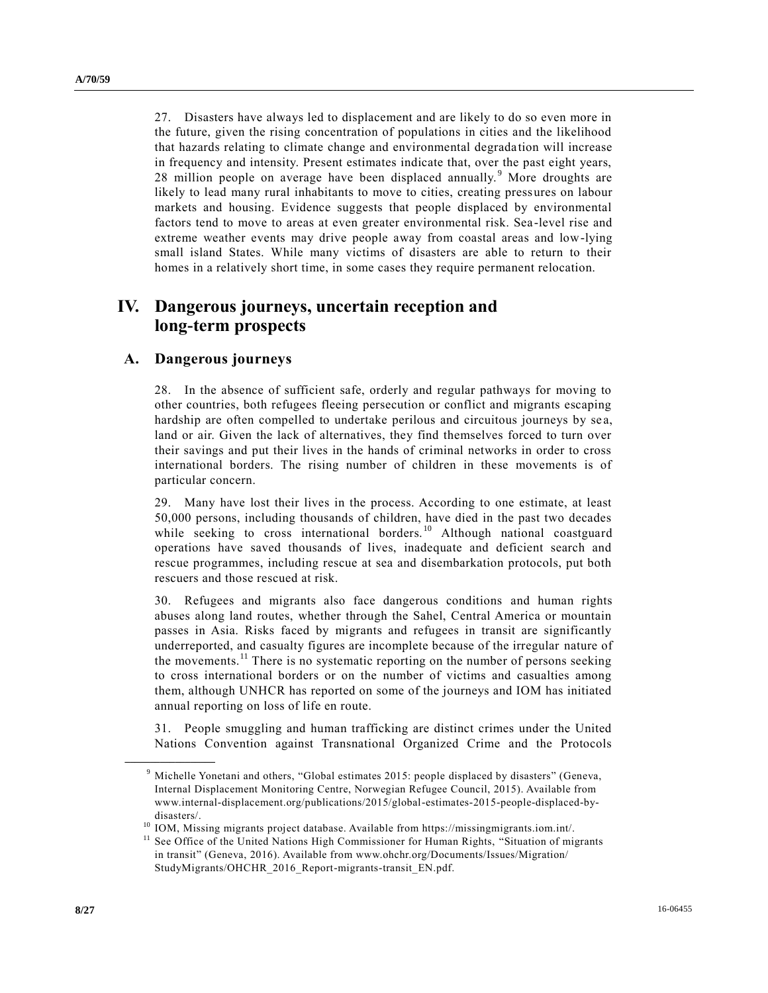27. Disasters have always led to displacement and are likely to do so even more in the future, given the rising concentration of populations in cities and the likelihood that hazards relating to climate change and environmental degrada tion will increase in frequency and intensity. Present estimates indicate that, over the past eight years, 28 million people on average have been displaced annually.<sup>9</sup> More droughts are likely to lead many rural inhabitants to move to cities, creating pressures on labour markets and housing. Evidence suggests that people displaced by environmental factors tend to move to areas at even greater environmental risk. Sea -level rise and extreme weather events may drive people away from coastal areas and low-lying small island States. While many victims of disasters are able to return to their homes in a relatively short time, in some cases they require permanent relocation.

# **IV. Dangerous journeys, uncertain reception and long-term prospects**

#### **A. Dangerous journeys**

28. In the absence of sufficient safe, orderly and regular pathways for moving to other countries, both refugees fleeing persecution or conflict and migrants escaping hardship are often compelled to undertake perilous and circuitous journeys by sea, land or air. Given the lack of alternatives, they find themselves forced to turn over their savings and put their lives in the hands of criminal networks in order to cross international borders. The rising number of children in these movements is of particular concern.

29. Many have lost their lives in the process. According to one estimate, at least 50,000 persons, including thousands of children, have died in the past two decades while seeking to cross international borders.<sup>10</sup> Although national coastguard operations have saved thousands of lives, inadequate and deficient search and rescue programmes, including rescue at sea and disembarkation protocols, put both rescuers and those rescued at risk.

30. Refugees and migrants also face dangerous conditions and human rights abuses along land routes, whether through the Sahel, Central America or mountain passes in Asia. Risks faced by migrants and refugees in transit are significantly underreported, and casualty figures are incomplete because of the irregular nature of the movements.<sup>11</sup> There is no systematic reporting on the number of persons seeking to cross international borders or on the number of victims and casualties among them, although UNHCR has reported on some of the journeys and IOM has initiated annual reporting on loss of life en route.

31. People smuggling and human trafficking are distinct crimes under the United Nations Convention against Transnational Organized Crime and the Protocols

<sup>&</sup>lt;sup>9</sup> Michelle Yonetani and others, "Global estimates 2015: people displaced by disasters" (Geneva, Internal Displacement Monitoring Centre, Norwegian Refugee Council, 2015). Available from www.internal-displacement.org/publications/2015/global-estimates-2015-people-displaced-bydisasters/.

<sup>10</sup> IOM, Missing migrants project database. Available from https://missingmigrants.iom.int/.

<sup>&</sup>lt;sup>11</sup> See Office of the United Nations High Commissioner for Human Rights, "Situation of migrants in transit" (Geneva, 2016). Available from www.ohchr.org/Documents/Issues/Migration/ StudyMigrants/OHCHR\_2016\_Report-migrants-transit\_EN.pdf.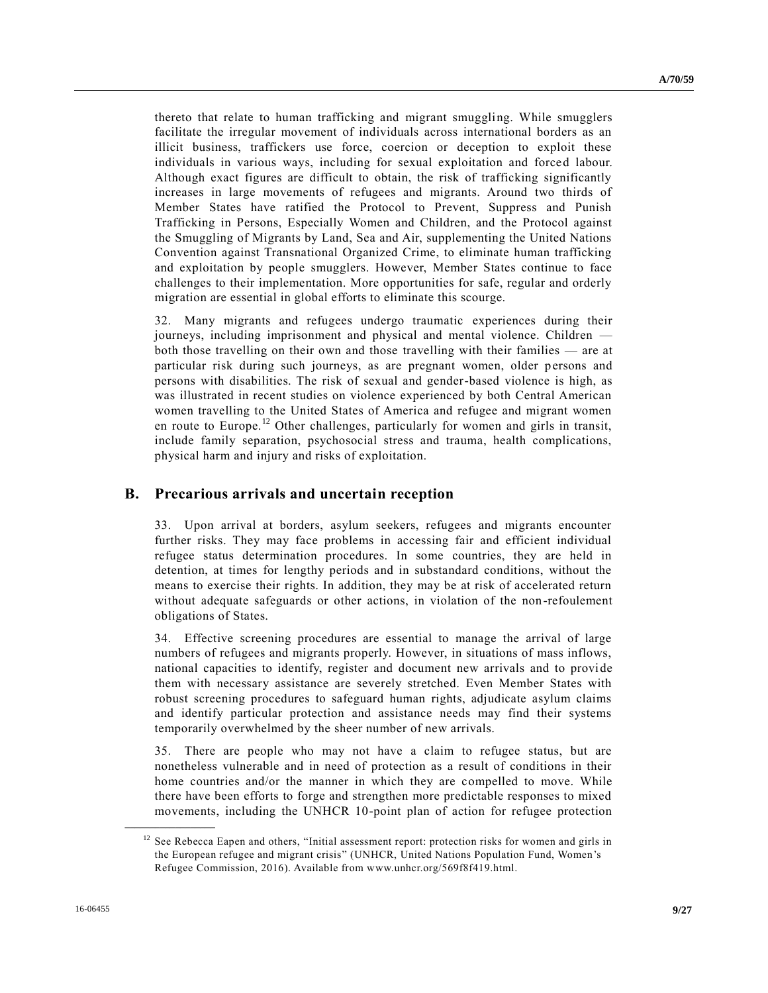thereto that relate to human trafficking and migrant smuggling. While smugglers facilitate the irregular movement of individuals across international borders as an illicit business, traffickers use force, coercion or deception to exploit these individuals in various ways, including for sexual exploitation and forced labour. Although exact figures are difficult to obtain, the risk of trafficking significantly increases in large movements of refugees and migrants. Around two thirds of Member States have ratified the Protocol to Prevent, Suppress and Punish Trafficking in Persons, Especially Women and Children, and the Protocol against the Smuggling of Migrants by Land, Sea and Air, supplementing the United Nations Convention against Transnational Organized Crime, to eliminate human trafficking and exploitation by people smugglers. However, Member States continue to face challenges to their implementation. More opportunities for safe, regular and orderly migration are essential in global efforts to eliminate this scourge.

32. Many migrants and refugees undergo traumatic experiences during their journeys, including imprisonment and physical and mental violence. Children both those travelling on their own and those travelling with their families — are at particular risk during such journeys, as are pregnant women, older persons and persons with disabilities. The risk of sexual and gender-based violence is high, as was illustrated in recent studies on violence experienced by both Central American women travelling to the United States of America and refugee and migrant women en route to Europe.<sup>12</sup> Other challenges, particularly for women and girls in transit, include family separation, psychosocial stress and trauma, health complications, physical harm and injury and risks of exploitation.

#### **B. Precarious arrivals and uncertain reception**

33. Upon arrival at borders, asylum seekers, refugees and migrants encounter further risks. They may face problems in accessing fair and efficient individual refugee status determination procedures. In some countries, they are held in detention, at times for lengthy periods and in substandard conditions, without the means to exercise their rights. In addition, they may be at risk of accelerated return without adequate safeguards or other actions, in violation of the non-refoulement obligations of States.

34. Effective screening procedures are essential to manage the arrival of large numbers of refugees and migrants properly. However, in situations of mass inflows, national capacities to identify, register and document new arrivals and to provide them with necessary assistance are severely stretched. Even Member States with robust screening procedures to safeguard human rights, adjudicate asylum claims and identify particular protection and assistance needs may find their systems temporarily overwhelmed by the sheer number of new arrivals.

35. There are people who may not have a claim to refugee status, but are nonetheless vulnerable and in need of protection as a result of conditions in their home countries and/or the manner in which they are compelled to move. While there have been efforts to forge and strengthen more predictable responses to mixed movements, including the UNHCR 10-point plan of action for refugee protection

<sup>&</sup>lt;sup>12</sup> See Rebecca Eapen and others, "Initial assessment report: protection risks for women and girls in the European refugee and migrant crisis" (UNHCR, United Nations Population Fund, Women's Refugee Commission, 2016). Available from www.unhcr.org/569f8f419.html.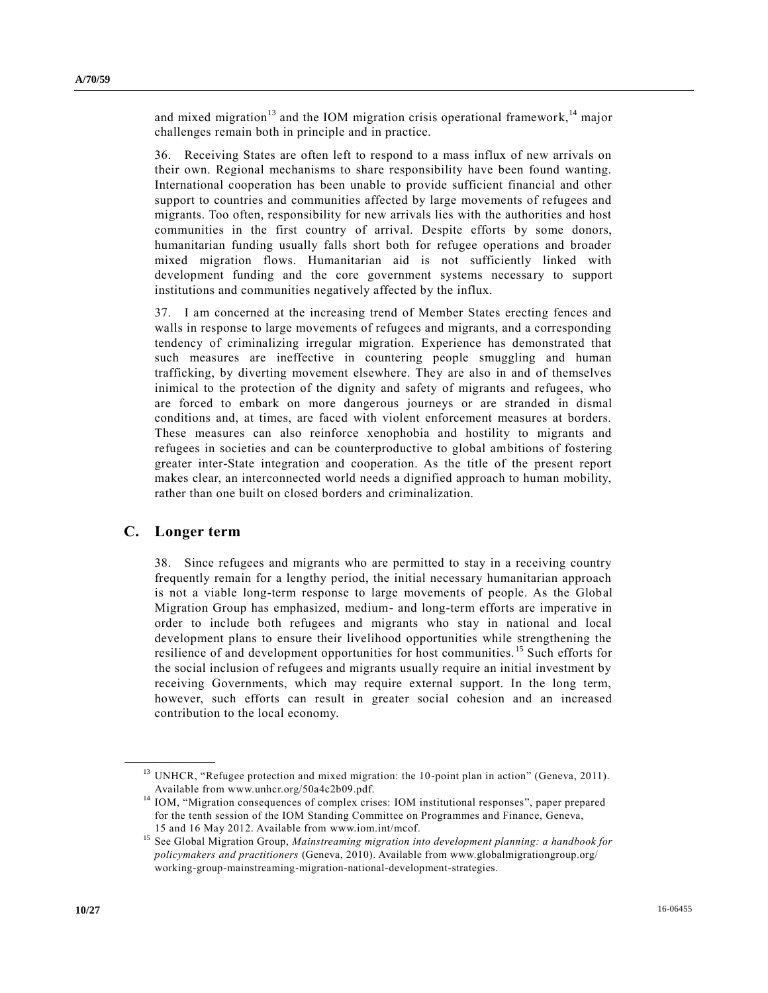and mixed migration<sup>13</sup> and the IOM migration crisis operational framework,<sup>14</sup> major challenges remain both in principle and in practice.

36. Receiving States are often left to respond to a mass influx of new arrivals on their own. Regional mechanisms to share responsibility have been found wanting. International cooperation has been unable to provide sufficient financial and other support to countries and communities affected by large movements of refugees and migrants. Too often, responsibility for new arrivals lies with the authorities and host communities in the first country of arrival. Despite efforts by some donors, humanitarian funding usually falls short both for refugee operations and broader mixed migration flows. Humanitarian aid is not sufficiently linked with development funding and the core government systems necessary to support institutions and communities negatively affected by the influx.

37. I am concerned at the increasing trend of Member States erecting fences and walls in response to large movements of refugees and migrants, and a corresponding tendency of criminalizing irregular migration. Experience has demonstrated that such measures are ineffective in countering people smuggling and human trafficking, by diverting movement elsewhere. They are also in and of themselves inimical to the protection of the dignity and safety of migrants and refugees, who are forced to embark on more dangerous journeys or are stranded in dismal conditions and, at times, are faced with violent enforcement measures at borders. These measures can also reinforce xenophobia and hostility to migrants and refugees in societies and can be counterproductive to global ambitions of fostering greater inter-State integration and cooperation. As the title of the present report makes clear, an interconnected world needs a dignified approach to human mobility, rather than one built on closed borders and criminalization.

#### **C. Longer term**

**\_\_\_\_\_\_\_\_\_\_\_\_\_\_\_\_\_\_**

38. Since refugees and migrants who are permitted to stay in a receiving country frequently remain for a lengthy period, the initial necessary humanitarian approach is not a viable long-term response to large movements of people. As the Global Migration Group has emphasized, medium- and long-term efforts are imperative in order to include both refugees and migrants who stay in national and local development plans to ensure their livelihood opportunities while strengthening the resilience of and development opportunities for host communities. <sup>15</sup> Such efforts for the social inclusion of refugees and migrants usually require an initial investment by receiving Governments, which may require external support. In the long term, however, such efforts can result in greater social cohesion and an increased contribution to the local economy.

<sup>&</sup>lt;sup>13</sup> UNHCR, "Refugee protection and mixed migration: the 10-point plan in action" (Geneva, 2011). Available from www.unhcr.org/50a4c2b09.pdf.

<sup>&</sup>lt;sup>14</sup> IOM, "Migration consequences of complex crises: IOM institutional responses", paper prepared for the tenth session of the IOM Standing Committee on Programmes and Finance, Geneva, 15 and 16 May 2012. Available from www.iom.int/mcof.

<sup>15</sup> See Global Migration Group, *Mainstreaming migration into development planning: a handbook for policymakers and practitioners* (Geneva, 2010). Available from www.globalmigrationgroup.org/ working-group-mainstreaming-migration-national-development-strategies.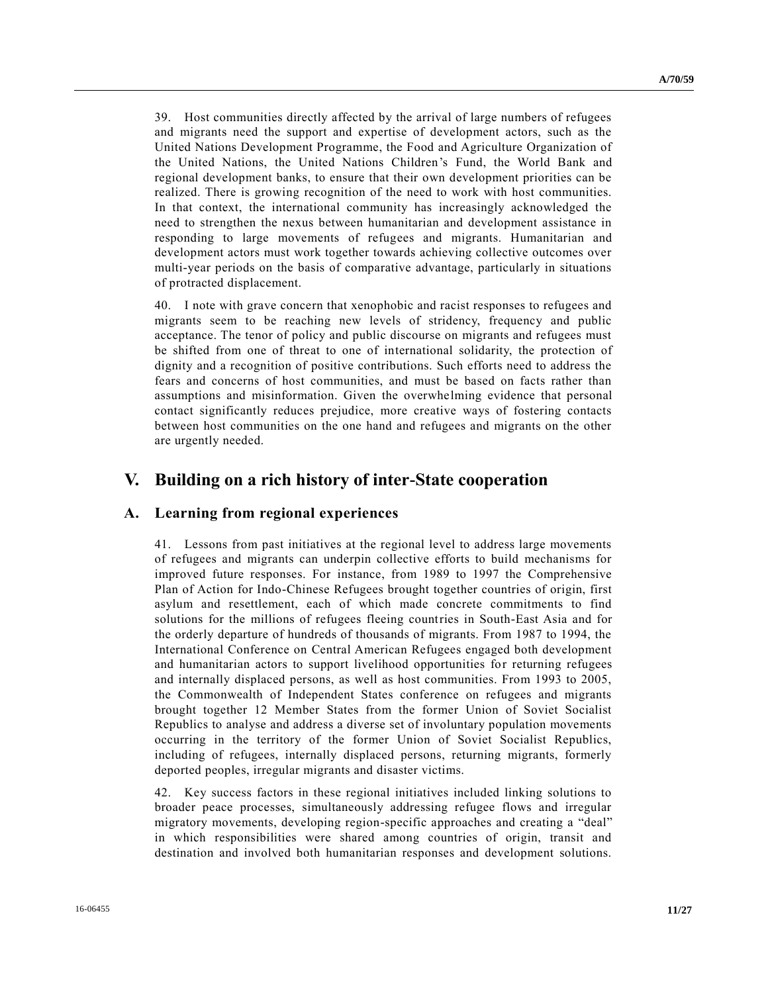39. Host communities directly affected by the arrival of large numbers of refugees and migrants need the support and expertise of development actors, such as the United Nations Development Programme, the Food and Agriculture Organization of the United Nations, the United Nations Children's Fund, the World Bank and regional development banks, to ensure that their own development priorities can be realized. There is growing recognition of the need to work with host communities. In that context, the international community has increasingly acknowledged the need to strengthen the nexus between humanitarian and development assistance in responding to large movements of refugees and migrants. Humanitarian and development actors must work together towards achieving collective outcomes over multi-year periods on the basis of comparative advantage, particularly in situations of protracted displacement.

40. I note with grave concern that xenophobic and racist responses to refugees and migrants seem to be reaching new levels of stridency, frequency and public acceptance. The tenor of policy and public discourse on migrants and refugees must be shifted from one of threat to one of international solidarity, the protection of dignity and a recognition of positive contributions. Such efforts need to address the fears and concerns of host communities, and must be based on facts rather than assumptions and misinformation. Given the overwhelming evidence that personal contact significantly reduces prejudice, more creative ways of fostering contacts between host communities on the one hand and refugees and migrants on the other are urgently needed.

## **V. Building on a rich history of inter-State cooperation**

#### **A. Learning from regional experiences**

41. Lessons from past initiatives at the regional level to address large movements of refugees and migrants can underpin collective efforts to build mechanisms for improved future responses. For instance, from 1989 to 1997 the Comprehensive Plan of Action for Indo-Chinese Refugees brought together countries of origin, first asylum and resettlement, each of which made concrete commitments to find solutions for the millions of refugees fleeing countries in South-East Asia and for the orderly departure of hundreds of thousands of migrants. From 1987 to 1994, the International Conference on Central American Refugees engaged both development and humanitarian actors to support livelihood opportunities for returning refugees and internally displaced persons, as well as host communities. From 1993 to 2005, the Commonwealth of Independent States conference on refugees and migrants brought together 12 Member States from the former Union of Soviet Socialist Republics to analyse and address a diverse set of involuntary population movements occurring in the territory of the former Union of Soviet Socialist Republics, including of refugees, internally displaced persons, returning migrants, formerly deported peoples, irregular migrants and disaster victims.

42. Key success factors in these regional initiatives included linking solutions to broader peace processes, simultaneously addressing refugee flows and irregular migratory movements, developing region-specific approaches and creating a "deal" in which responsibilities were shared among countries of origin, transit and destination and involved both humanitarian responses and development solutions.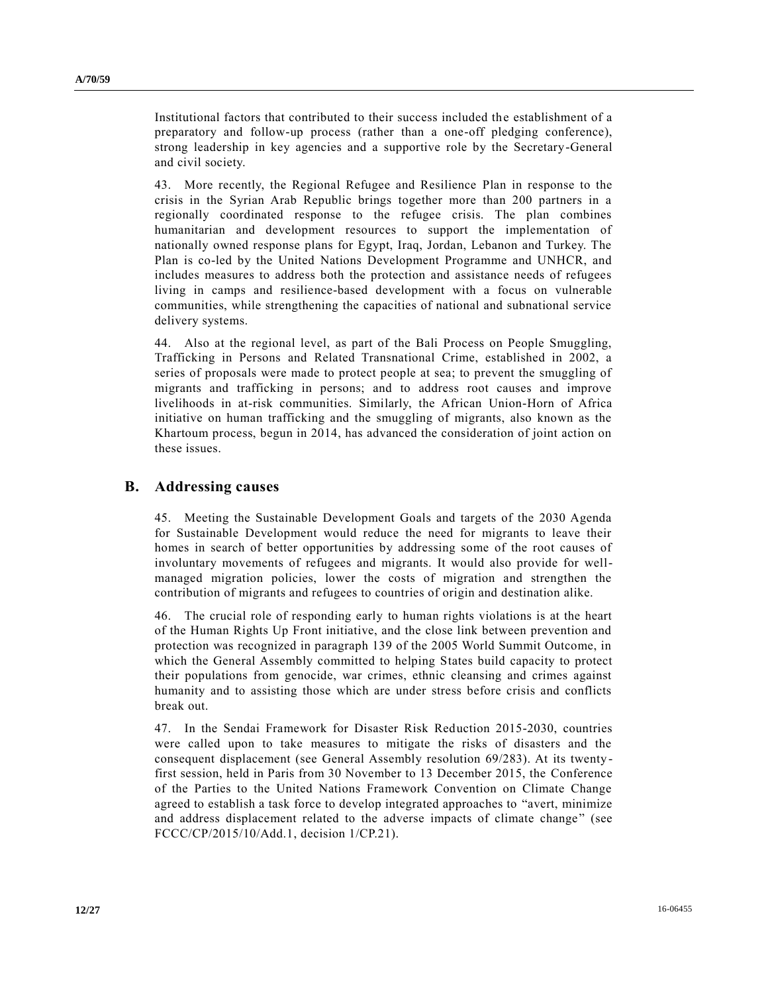Institutional factors that contributed to their success included the establishment of a preparatory and follow-up process (rather than a one-off pledging conference), strong leadership in key agencies and a supportive role by the Secretary-General and civil society.

43. More recently, the Regional Refugee and Resilience Plan in response to the crisis in the Syrian Arab Republic brings together more than 200 partners in a regionally coordinated response to the refugee crisis. The plan combines humanitarian and development resources to support the implementation of nationally owned response plans for Egypt, Iraq, Jordan, Lebanon and Turkey. The Plan is co-led by the United Nations Development Programme and UNHCR, and includes measures to address both the protection and assistance needs of refugees living in camps and resilience-based development with a focus on vulnerable communities, while strengthening the capacities of national and subnational service delivery systems.

44. Also at the regional level, as part of the Bali Process on People Smuggling, Trafficking in Persons and Related Transnational Crime, established in 2002, a series of proposals were made to protect people at sea; to prevent the smuggling of migrants and trafficking in persons; and to address root causes and improve livelihoods in at-risk communities. Similarly, the African Union-Horn of Africa initiative on human trafficking and the smuggling of migrants, also known as the Khartoum process, begun in 2014, has advanced the consideration of joint action on these issues.

#### **B. Addressing causes**

45. Meeting the Sustainable Development Goals and targets of the 2030 Agenda for Sustainable Development would reduce the need for migrants to leave their homes in search of better opportunities by addressing some of the root causes of involuntary movements of refugees and migrants. It would also provide for wellmanaged migration policies, lower the costs of migration and strengthen the contribution of migrants and refugees to countries of origin and destination alike.

46. The crucial role of responding early to human rights violations is at the heart of the Human Rights Up Front initiative, and the close link between prevention and protection was recognized in paragraph 139 of the 2005 World Summit Outcome, in which the General Assembly committed to helping States build capacity to protect their populations from genocide, war crimes, ethnic cleansing and crimes against humanity and to assisting those which are under stress before crisis and conflicts break out.

47. In the Sendai Framework for Disaster Risk Reduction 2015-2030, countries were called upon to take measures to mitigate the risks of disasters and the consequent displacement (see General Assembly resolution 69/283). At its twenty first session, held in Paris from 30 November to 13 December 2015, the Conference of the Parties to the United Nations Framework Convention on Climate Change agreed to establish a task force to develop integrated approaches to "avert, minimize and address displacement related to the adverse impacts of climate change" (see [FCCC/CP/2015/10/Add.1,](http://undocs.org/FCCC/CP/2015/10/Add.1) decision 1/CP.21).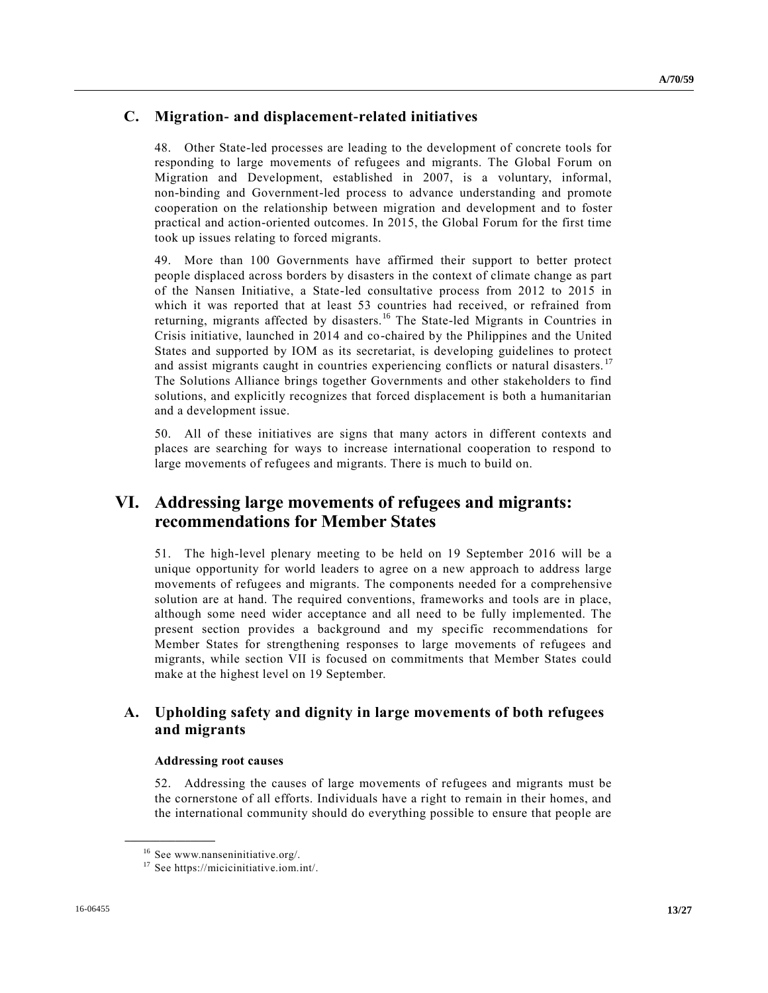## **C. Migration- and displacement-related initiatives**

48. Other State-led processes are leading to the development of concrete tools for responding to large movements of refugees and migrants. The Global Forum on Migration and Development, established in 2007, is a voluntary, informal, non-binding and Government-led process to advance understanding and promote cooperation on the relationship between migration and development and to foster practical and action-oriented outcomes. In 2015, the Global Forum for the first time took up issues relating to forced migrants.

49. More than 100 Governments have affirmed their support to better protect people displaced across borders by disasters in the context of climate change as part of the Nansen Initiative, a State-led consultative process from 2012 to 2015 in which it was reported that at least 53 countries had received, or refrained from returning, migrants affected by disasters.<sup>16</sup> The State-led Migrants in Countries in Crisis initiative, launched in 2014 and co-chaired by the Philippines and the United States and supported by IOM as its secretariat, is developing guidelines to protect and assist migrants caught in countries experiencing conflicts or natural disasters.<sup>17</sup> The Solutions Alliance brings together Governments and other stakeholders to find solutions, and explicitly recognizes that forced displacement is both a humanitarian and a development issue.

50. All of these initiatives are signs that many actors in different contexts and places are searching for ways to increase international cooperation to respond to large movements of refugees and migrants. There is much to build on.

# **VI. Addressing large movements of refugees and migrants: recommendations for Member States**

51. The high-level plenary meeting to be held on 19 September 2016 will be a unique opportunity for world leaders to agree on a new approach to address large movements of refugees and migrants. The components needed for a comprehensive solution are at hand. The required conventions, frameworks and tools are in place, although some need wider acceptance and all need to be fully implemented. The present section provides a background and my specific recommendations for Member States for strengthening responses to large movements of refugees and migrants, while section VII is focused on commitments that Member States could make at the highest level on 19 September.

## **A. Upholding safety and dignity in large movements of both refugees and migrants**

#### **Addressing root causes**

52. Addressing the causes of large movements of refugees and migrants must be the cornerstone of all efforts. Individuals have a right to remain in their homes, and the international community should do everything possible to ensure that people are

<sup>16</sup> See www.nanseninitiative.org/.

<sup>17</sup> See https://micicinitiative.iom.int/.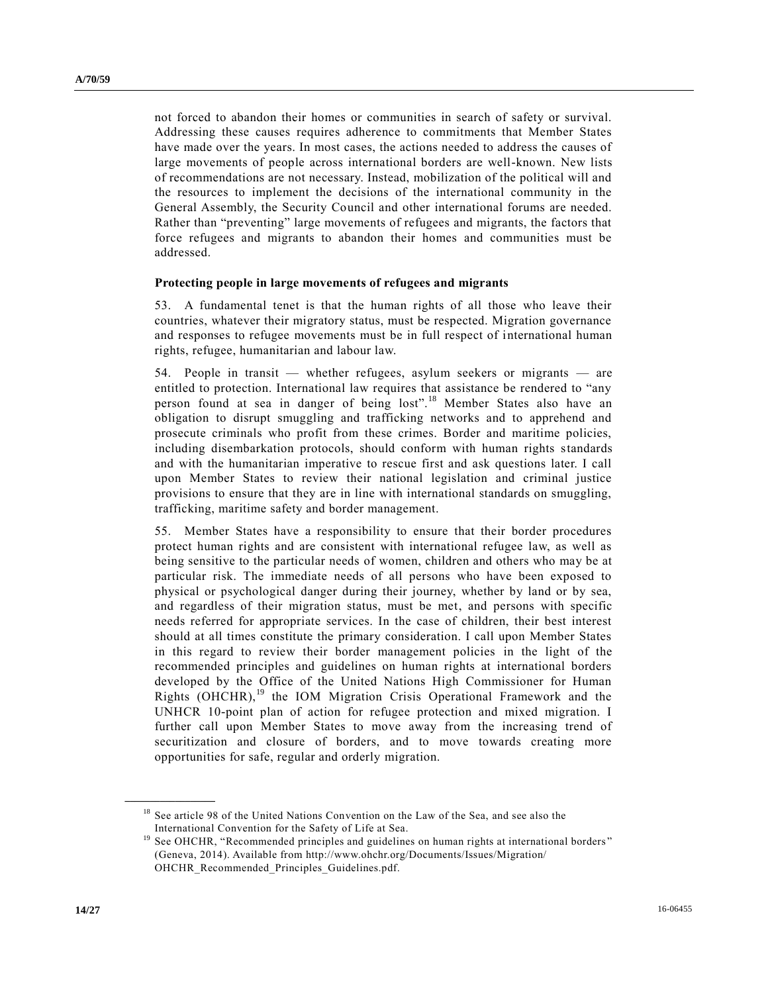not forced to abandon their homes or communities in search of safety or survival. Addressing these causes requires adherence to commitments that Member States have made over the years. In most cases, the actions needed to address the causes of large movements of people across international borders are well-known. New lists of recommendations are not necessary. Instead, mobilization of the political will and the resources to implement the decisions of the international community in the General Assembly, the Security Council and other international forums are needed. Rather than "preventing" large movements of refugees and migrants, the factors that force refugees and migrants to abandon their homes and communities must be addressed.

#### **Protecting people in large movements of refugees and migrants**

53. A fundamental tenet is that the human rights of all those who leave their countries, whatever their migratory status, must be respected. Migration governance and responses to refugee movements must be in full respect of international human rights, refugee, humanitarian and labour law.

54. People in transit — whether refugees, asylum seekers or migrants — are entitled to protection. International law requires that assistance be rendered to "any person found at sea in danger of being lost".<sup>18</sup> Member States also have an obligation to disrupt smuggling and trafficking networks and to apprehend and prosecute criminals who profit from these crimes. Border and maritime policies, including disembarkation protocols, should conform with human rights standards and with the humanitarian imperative to rescue first and ask questions later. I call upon Member States to review their national legislation and criminal justice provisions to ensure that they are in line with international standards on smuggling, trafficking, maritime safety and border management.

55. Member States have a responsibility to ensure that their border procedures protect human rights and are consistent with international refugee law, as well as being sensitive to the particular needs of women, children and others who may be at particular risk. The immediate needs of all persons who have been exposed to physical or psychological danger during their journey, whether by land or by sea, and regardless of their migration status, must be met, and persons with specific needs referred for appropriate services. In the case of children, their best interest should at all times constitute the primary consideration. I call upon Member States in this regard to review their border management policies in the light of the recommended principles and guidelines on human rights at international borders developed by the Office of the United Nations High Commissioner for Human Rights (OHCHR), $19$  the IOM Migration Crisis Operational Framework and the UNHCR 10-point plan of action for refugee protection and mixed migration. I further call upon Member States to move away from the increasing trend of securitization and closure of borders, and to move towards creating more opportunities for safe, regular and orderly migration.

<sup>&</sup>lt;sup>18</sup> See article 98 of the United Nations Convention on the Law of the Sea, and see also the International Convention for the Safety of Life at Sea.

<sup>&</sup>lt;sup>19</sup> See OHCHR, "Recommended principles and guidelines on human rights at international borders" (Geneva, 2014). Available from http://www.ohchr.org/Documents/Issues/Migration/ OHCHR\_Recommended\_Principles\_Guidelines.pdf.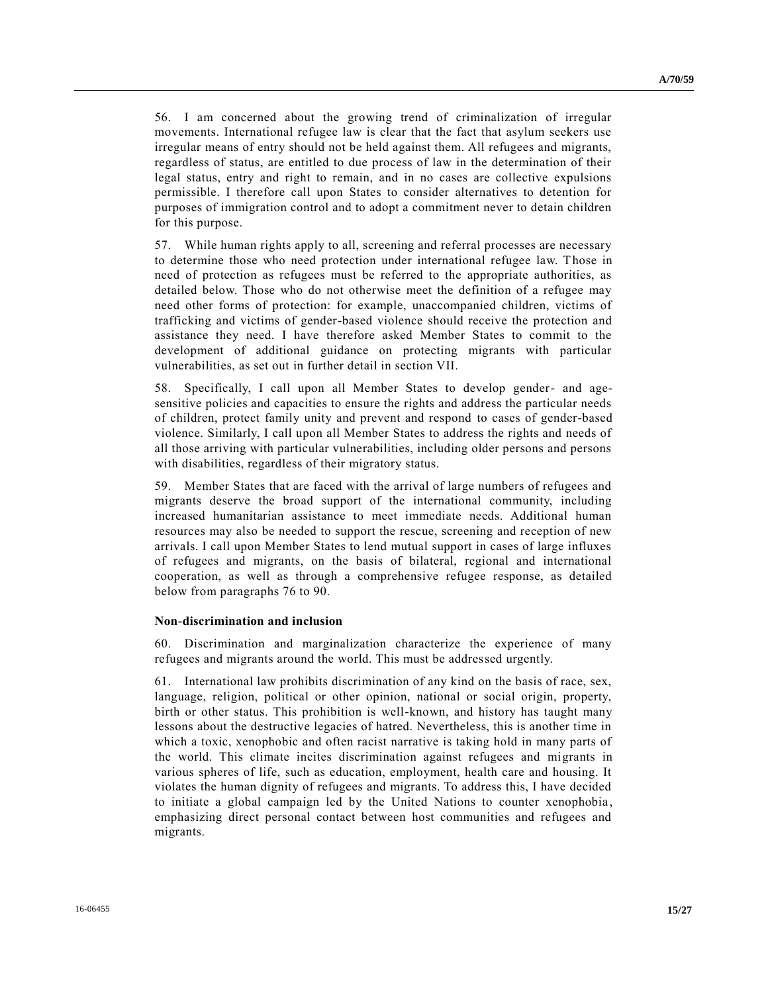56. I am concerned about the growing trend of criminalization of irregular movements. International refugee law is clear that the fact that asylum seekers use irregular means of entry should not be held against them. All refugees and migrants, regardless of status, are entitled to due process of law in the determination of their legal status, entry and right to remain, and in no cases are collective expulsions permissible. I therefore call upon States to consider alternatives to detention for purposes of immigration control and to adopt a commitment never to detain children for this purpose.

57. While human rights apply to all, screening and referral processes are necessary to determine those who need protection under international refugee law. Those in need of protection as refugees must be referred to the appropriate authorities, as detailed below. Those who do not otherwise meet the definition of a refugee may need other forms of protection: for example, unaccompanied children, victims of trafficking and victims of gender-based violence should receive the protection and assistance they need. I have therefore asked Member States to commit to the development of additional guidance on protecting migrants with particular vulnerabilities, as set out in further detail in section VII.

58. Specifically, I call upon all Member States to develop gender- and agesensitive policies and capacities to ensure the rights and address the particular needs of children, protect family unity and prevent and respond to cases of gender-based violence. Similarly, I call upon all Member States to address the rights and needs of all those arriving with particular vulnerabilities, including older persons and persons with disabilities, regardless of their migratory status.

59. Member States that are faced with the arrival of large numbers of refugees and migrants deserve the broad support of the international community, including increased humanitarian assistance to meet immediate needs. Additional human resources may also be needed to support the rescue, screening and reception of new arrivals. I call upon Member States to lend mutual support in cases of large influxes of refugees and migrants, on the basis of bilateral, regional and international cooperation, as well as through a comprehensive refugee response, as detailed below from paragraphs 76 to 90.

#### **Non-discrimination and inclusion**

60. Discrimination and marginalization characterize the experience of many refugees and migrants around the world. This must be addressed urgently.

61. International law prohibits discrimination of any kind on the basis of race, sex, language, religion, political or other opinion, national or social origin, property, birth or other status. This prohibition is well-known, and history has taught many lessons about the destructive legacies of hatred. Nevertheless, this is another time in which a toxic, xenophobic and often racist narrative is taking hold in many parts of the world. This climate incites discrimination against refugees and migrants in various spheres of life, such as education, employment, health care and housing. It violates the human dignity of refugees and migrants. To address this, I have decided to initiate a global campaign led by the United Nations to counter xenophobia , emphasizing direct personal contact between host communities and refugees and migrants.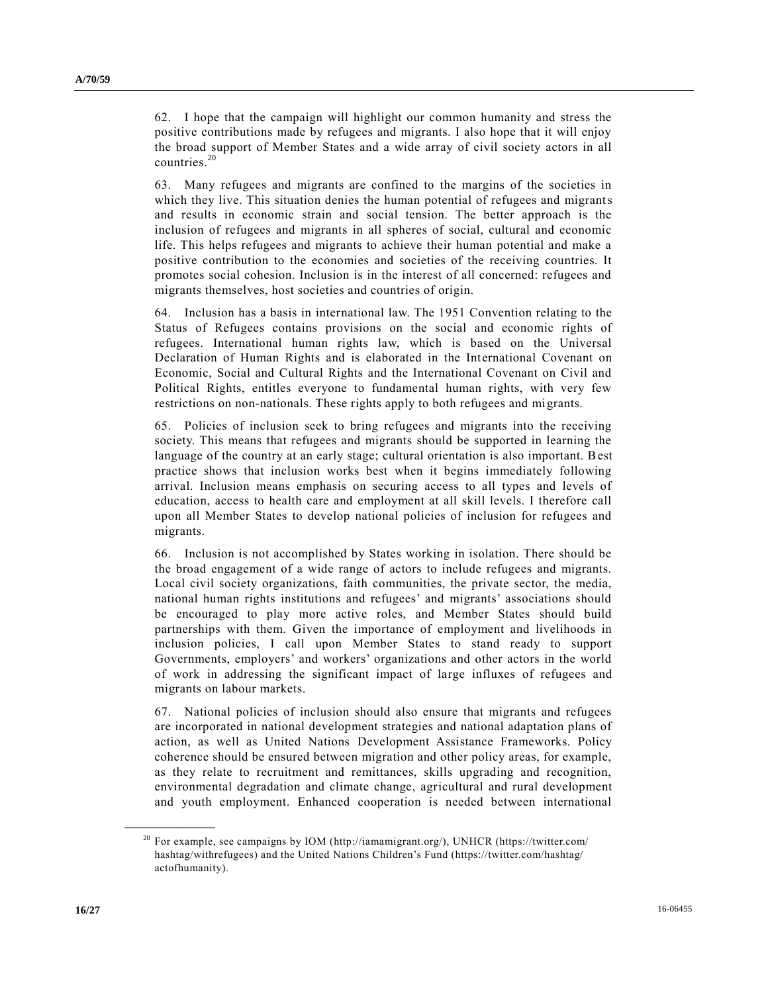62. I hope that the campaign will highlight our common humanity and stress the positive contributions made by refugees and migrants. I also hope that it will enjoy the broad support of Member States and a wide array of civil society actors in all countries<sup>20</sup>

63. Many refugees and migrants are confined to the margins of the societies in which they live. This situation denies the human potential of refugees and migrants and results in economic strain and social tension. The better approach is the inclusion of refugees and migrants in all spheres of social, cultural and economic life. This helps refugees and migrants to achieve their human potential and make a positive contribution to the economies and societies of the receiving countries. It promotes social cohesion. Inclusion is in the interest of all concerned: refugees and migrants themselves, host societies and countries of origin.

64. Inclusion has a basis in international law. The 1951 Convention relating to the Status of Refugees contains provisions on the social and economic rights of refugees. International human rights law, which is based on the Universal Declaration of Human Rights and is elaborated in the International Covenant on Economic, Social and Cultural Rights and the International Covenant on Civil and Political Rights, entitles everyone to fundamental human rights, with very few restrictions on non-nationals. These rights apply to both refugees and migrants.

65. Policies of inclusion seek to bring refugees and migrants into the receiving society. This means that refugees and migrants should be supported in learning the language of the country at an early stage; cultural orientation is also important. Best practice shows that inclusion works best when it begins immediately following arrival. Inclusion means emphasis on securing access to all types and levels of education, access to health care and employment at all skill levels. I therefore call upon all Member States to develop national policies of inclusion for refugees and migrants.

66. Inclusion is not accomplished by States working in isolation. There should be the broad engagement of a wide range of actors to include refugees and migrants. Local civil society organizations, faith communities, the private sector, the media, national human rights institutions and refugees' and migrants' associations should be encouraged to play more active roles, and Member States should build partnerships with them. Given the importance of employment and livelihoods in inclusion policies, I call upon Member States to stand ready to support Governments, employers' and workers' organizations and other actors in the world of work in addressing the significant impact of large influxes of refugees and migrants on labour markets.

67. National policies of inclusion should also ensure that migrants and refugees are incorporated in national development strategies and national adaptation plans of action, as well as United Nations Development Assistance Frameworks. Policy coherence should be ensured between migration and other policy areas, for example, as they relate to recruitment and remittances, skills upgrading and recognition, environmental degradation and climate change, agricultural and rural development and youth employment. Enhanced cooperation is needed between international

 $20$  For example, see campaigns by IOM (http://iamamigrant.org/), UNHCR (https://twitter.com/ hashtag/withrefugees) and the United Nations Children's Fund (https://twitter.com/hashtag/ actofhumanity).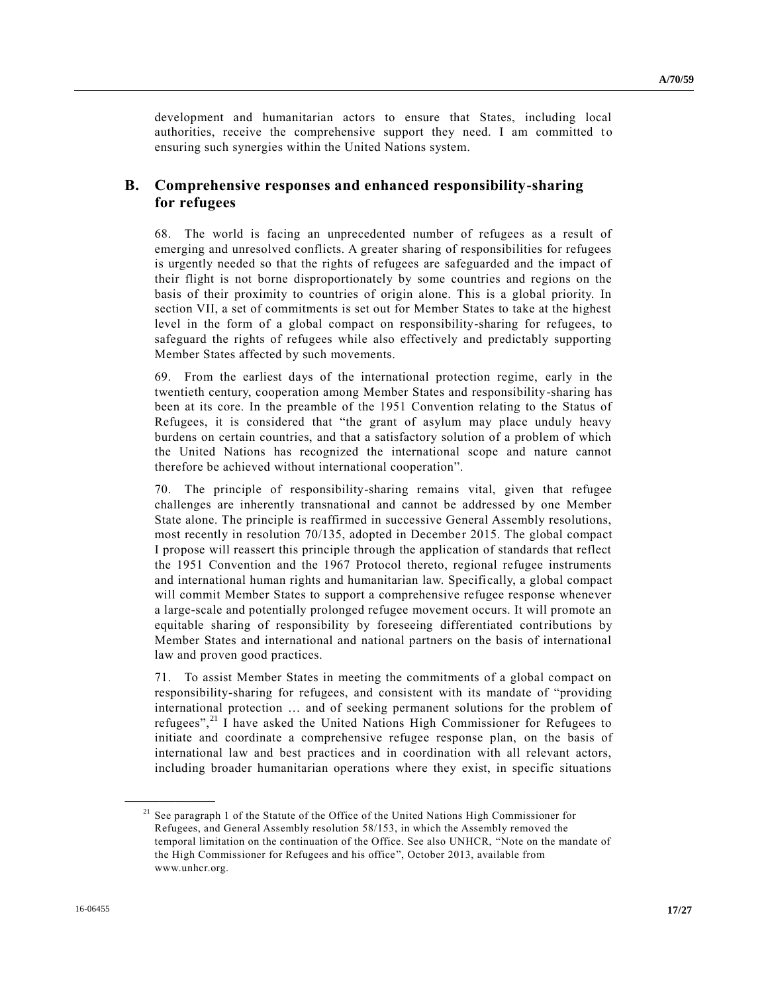development and humanitarian actors to ensure that States, including local authorities, receive the comprehensive support they need. I am committed to ensuring such synergies within the United Nations system.

### **B. Comprehensive responses and enhanced responsibility-sharing for refugees**

68. The world is facing an unprecedented number of refugees as a result of emerging and unresolved conflicts. A greater sharing of responsibilities for refugees is urgently needed so that the rights of refugees are safeguarded and the impact of their flight is not borne disproportionately by some countries and regions on the basis of their proximity to countries of origin alone. This is a global priority. In section VII, a set of commitments is set out for Member States to take at the highest level in the form of a global compact on responsibility-sharing for refugees, to safeguard the rights of refugees while also effectively and predictably supporting Member States affected by such movements.

69. From the earliest days of the international protection regime, early in the twentieth century, cooperation among Member States and responsibility-sharing has been at its core. In the preamble of the 1951 Convention relating to the Status of Refugees, it is considered that "the grant of asylum may place unduly heavy burdens on certain countries, and that a satisfactory solution of a problem of which the United Nations has recognized the international scope and nature cannot therefore be achieved without international cooperation".

70. The principle of responsibility-sharing remains vital, given that refugee challenges are inherently transnational and cannot be addressed by one Member State alone. The principle is reaffirmed in successive General Assembly resolutions, most recently in resolution 70/135, adopted in December 2015. The global compact I propose will reassert this principle through the application of standards that reflect the 1951 Convention and the 1967 Protocol thereto, regional refugee instruments and international human rights and humanitarian law. Specifically, a global compact will commit Member States to support a comprehensive refugee response whenever a large-scale and potentially prolonged refugee movement occurs. It will promote an equitable sharing of responsibility by foreseeing differentiated contributions by Member States and international and national partners on the basis of international law and proven good practices.

71. To assist Member States in meeting the commitments of a global compact on responsibility-sharing for refugees, and consistent with its mandate of "providing international protection … and of seeking permanent solutions for the problem of refugees",<sup>21</sup> I have asked the United Nations High Commissioner for Refugees to initiate and coordinate a comprehensive refugee response plan, on the basis of international law and best practices and in coordination with all relevant actors, including broader humanitarian operations where they exist, in specific situations

<sup>&</sup>lt;sup>21</sup> See paragraph 1 of the Statute of the Office of the United Nations High Commissioner for Refugees, and General Assembly resolution 58/153, in which the Assembly removed the temporal limitation on the continuation of the Office. See also UNHCR, "Note on the mandate of the High Commissioner for Refugees and his office", October 2013, available from www.unhcr.org.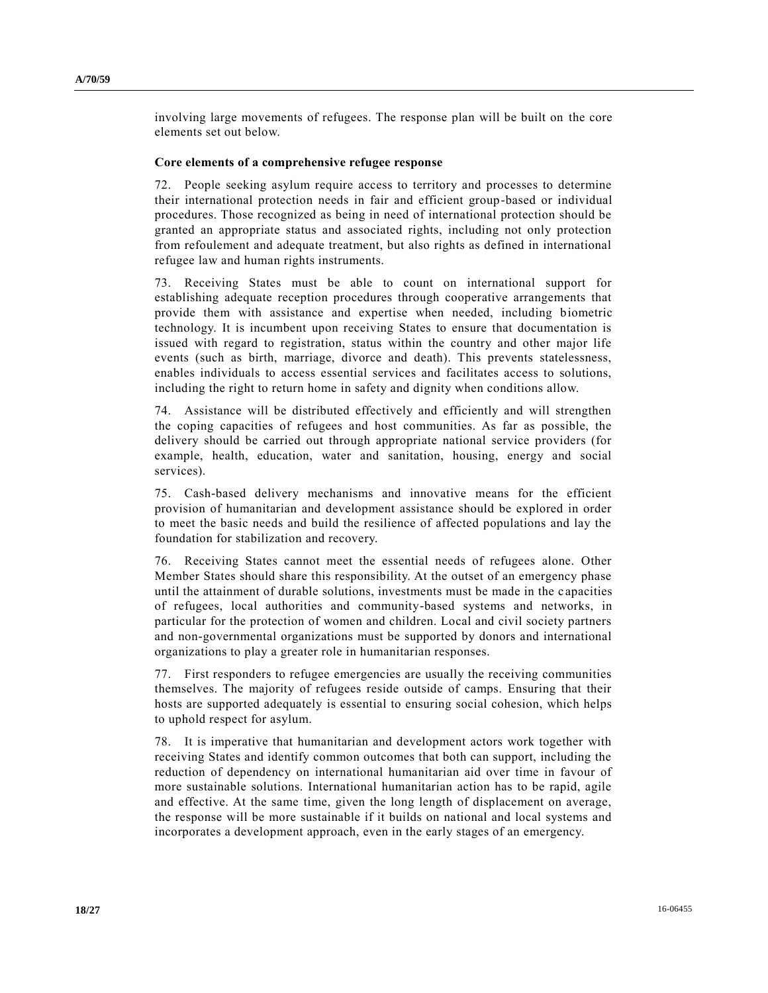involving large movements of refugees. The response plan will be built on the core elements set out below.

#### **Core elements of a comprehensive refugee response**

72. People seeking asylum require access to territory and processes to determine their international protection needs in fair and efficient group-based or individual procedures. Those recognized as being in need of international protection should be granted an appropriate status and associated rights, including not only protection from refoulement and adequate treatment, but also rights as defined in international refugee law and human rights instruments.

73. Receiving States must be able to count on international support for establishing adequate reception procedures through cooperative arrangements that provide them with assistance and expertise when needed, including biometric technology. It is incumbent upon receiving States to ensure that documentation is issued with regard to registration, status within the country and other major life events (such as birth, marriage, divorce and death). This prevents statelessness, enables individuals to access essential services and facilitates access to solutions, including the right to return home in safety and dignity when conditions allow.

74. Assistance will be distributed effectively and efficiently and will strengthen the coping capacities of refugees and host communities. As far as possible, the delivery should be carried out through appropriate national service providers (for example, health, education, water and sanitation, housing, energy and social services).

75. Cash-based delivery mechanisms and innovative means for the efficient provision of humanitarian and development assistance should be explored in order to meet the basic needs and build the resilience of affected populations and lay the foundation for stabilization and recovery.

76. Receiving States cannot meet the essential needs of refugees alone. Other Member States should share this responsibility. At the outset of an emergency phase until the attainment of durable solutions, investments must be made in the c apacities of refugees, local authorities and community-based systems and networks, in particular for the protection of women and children. Local and civil society partners and non-governmental organizations must be supported by donors and international organizations to play a greater role in humanitarian responses.

77. First responders to refugee emergencies are usually the receiving communities themselves. The majority of refugees reside outside of camps. Ensuring that their hosts are supported adequately is essential to ensuring social cohesion, which helps to uphold respect for asylum.

78. It is imperative that humanitarian and development actors work together with receiving States and identify common outcomes that both can support, including the reduction of dependency on international humanitarian aid over time in favour of more sustainable solutions. International humanitarian action has to be rapid, agile and effective. At the same time, given the long length of displacement on average, the response will be more sustainable if it builds on national and local systems and incorporates a development approach, even in the early stages of an emergency.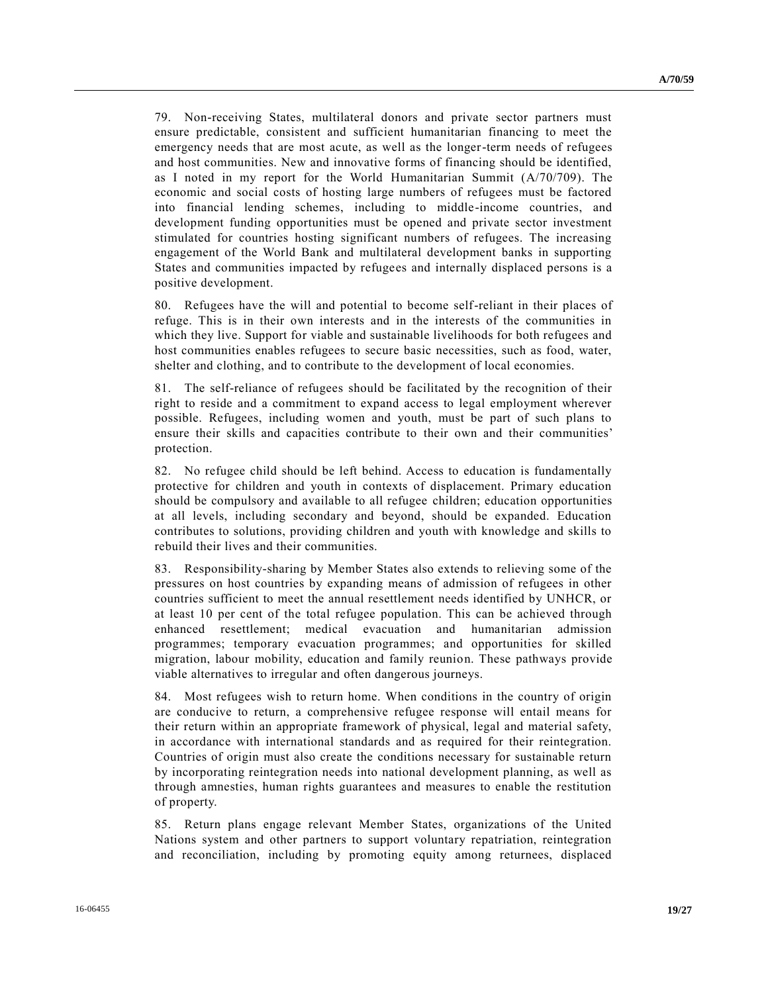79. Non-receiving States, multilateral donors and private sector partners must ensure predictable, consistent and sufficient humanitarian financing to meet the emergency needs that are most acute, as well as the longer-term needs of refugees and host communities. New and innovative forms of financing should be identified, as I noted in my report for the World Humanitarian Summit [\(A/70/709\)](http://undocs.org/A/70/709). The economic and social costs of hosting large numbers of refugees must be factored into financial lending schemes, including to middle-income countries, and development funding opportunities must be opened and private sector investment stimulated for countries hosting significant numbers of refugees. The increasing engagement of the World Bank and multilateral development banks in supporting States and communities impacted by refugees and internally displaced persons is a positive development.

80. Refugees have the will and potential to become self-reliant in their places of refuge. This is in their own interests and in the interests of the communities in which they live. Support for viable and sustainable livelihoods for both refugees and host communities enables refugees to secure basic necessities, such as food, water, shelter and clothing, and to contribute to the development of local economies.

81. The self-reliance of refugees should be facilitated by the recognition of their right to reside and a commitment to expand access to legal employment wherever possible. Refugees, including women and youth, must be part of such plans to ensure their skills and capacities contribute to their own and their communities' protection.

82. No refugee child should be left behind. Access to education is fundamentally protective for children and youth in contexts of displacement. Primary education should be compulsory and available to all refugee children; education opportunities at all levels, including secondary and beyond, should be expanded. Education contributes to solutions, providing children and youth with knowledge and skills to rebuild their lives and their communities.

83. Responsibility-sharing by Member States also extends to relieving some of the pressures on host countries by expanding means of admission of refugees in other countries sufficient to meet the annual resettlement needs identified by UNHCR, or at least 10 per cent of the total refugee population. This can be achieved through enhanced resettlement; medical evacuation and humanitarian admission programmes; temporary evacuation programmes; and opportunities for skilled migration, labour mobility, education and family reunion. These pathways provide viable alternatives to irregular and often dangerous journeys.

84. Most refugees wish to return home. When conditions in the country of origin are conducive to return, a comprehensive refugee response will entail means for their return within an appropriate framework of physical, legal and material safety, in accordance with international standards and as required for their reintegration. Countries of origin must also create the conditions necessary for sustainable return by incorporating reintegration needs into national development planning, as well as through amnesties, human rights guarantees and measures to enable the restitution of property.

85. Return plans engage relevant Member States, organizations of the United Nations system and other partners to support voluntary repatriation, reintegration and reconciliation, including by promoting equity among returnees, displaced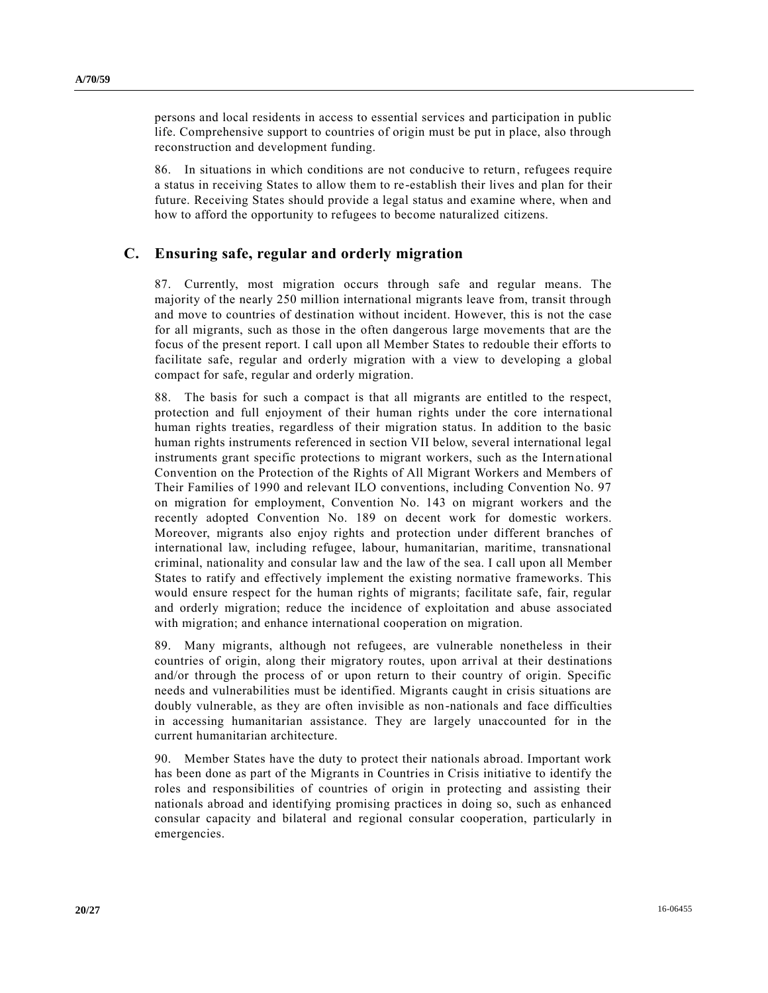persons and local residents in access to essential services and participation in public life. Comprehensive support to countries of origin must be put in place, also through reconstruction and development funding.

86. In situations in which conditions are not conducive to return, refugees require a status in receiving States to allow them to re-establish their lives and plan for their future. Receiving States should provide a legal status and examine where, when and how to afford the opportunity to refugees to become naturalized citizens.

#### **C. Ensuring safe, regular and orderly migration**

87. Currently, most migration occurs through safe and regular means. The majority of the nearly 250 million international migrants leave from, transit through and move to countries of destination without incident. However, this is not the case for all migrants, such as those in the often dangerous large movements that are the focus of the present report. I call upon all Member States to redouble their efforts to facilitate safe, regular and orderly migration with a view to developing a global compact for safe, regular and orderly migration.

88. The basis for such a compact is that all migrants are entitled to the respect, protection and full enjoyment of their human rights under the core international human rights treaties, regardless of their migration status. In addition to the basic human rights instruments referenced in section VII below, several international legal instruments grant specific protections to migrant workers, such as the International Convention on the Protection of the Rights of All Migrant Workers and Members of Their Families of 1990 and relevant ILO conventions, including Convention No. 97 on migration for employment, Convention No. 143 on migrant workers and the recently adopted Convention No. 189 on decent work for domestic workers. Moreover, migrants also enjoy rights and protection under different branches of international law, including refugee, labour, humanitarian, maritime, transnational criminal, nationality and consular law and the law of the sea. I call upon all Member States to ratify and effectively implement the existing normative frameworks. This would ensure respect for the human rights of migrants; facilitate safe, fair, regular and orderly migration; reduce the incidence of exploitation and abuse associated with migration; and enhance international cooperation on migration.

89. Many migrants, although not refugees, are vulnerable nonetheless in their countries of origin, along their migratory routes, upon arrival at their destinations and/or through the process of or upon return to their country of origin. Specific needs and vulnerabilities must be identified. Migrants caught in crisis situations are doubly vulnerable, as they are often invisible as non-nationals and face difficulties in accessing humanitarian assistance. They are largely unaccounted for in the current humanitarian architecture.

90. Member States have the duty to protect their nationals abroad. Important work has been done as part of the Migrants in Countries in Crisis initiative to identify the roles and responsibilities of countries of origin in protecting and assisting their nationals abroad and identifying promising practices in doing so, such as enhanced consular capacity and bilateral and regional consular cooperation, particularly in emergencies.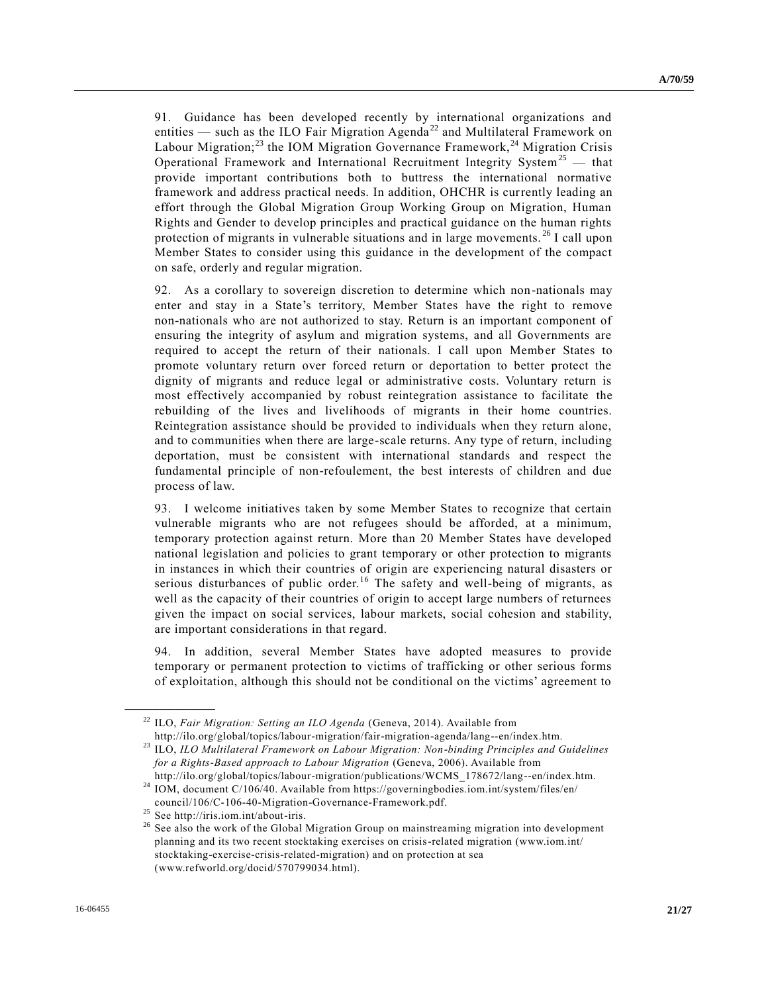91. Guidance has been developed recently by international organizations and entities — such as the ILO Fair Migration Agenda<sup>22</sup> and Multilateral Framework on Labour Migration;<sup>23</sup> the IOM Migration Governance Framework,<sup>24</sup> Migration Crisis Operational Framework and International Recruitment Integrity System<sup>25</sup> — that provide important contributions both to buttress the international normative framework and address practical needs. In addition, OHCHR is currently leading an effort through the Global Migration Group Working Group on Migration, Human Rights and Gender to develop principles and practical guidance on the human rights protection of migrants in vulnerable situations and in large movements.<sup>26</sup> I call upon Member States to consider using this guidance in the development of the compact on safe, orderly and regular migration.

92. As a corollary to sovereign discretion to determine which non-nationals may enter and stay in a State's territory, Member States have the right to remove non-nationals who are not authorized to stay. Return is an important component of ensuring the integrity of asylum and migration systems, and all Governments are required to accept the return of their nationals. I call upon Member States to promote voluntary return over forced return or deportation to better protect the dignity of migrants and reduce legal or administrative costs. Voluntary return is most effectively accompanied by robust reintegration assistance to facilitate the rebuilding of the lives and livelihoods of migrants in their home countries. Reintegration assistance should be provided to individuals when they return alone, and to communities when there are large-scale returns. Any type of return, including deportation, must be consistent with international standards and respect the fundamental principle of non-refoulement, the best interests of children and due process of law.

93. I welcome initiatives taken by some Member States to recognize that certain vulnerable migrants who are not refugees should be afforded, at a minimum, temporary protection against return. More than 20 Member States have developed national legislation and policies to grant temporary or other protection to migrants in instances in which their countries of origin are experiencing natural disasters or serious disturbances of public order.<sup>16</sup> The safety and well-being of migrants, as well as the capacity of their countries of origin to accept large numbers of returnees given the impact on social services, labour markets, social cohesion and stability, are important considerations in that regard.

94. In addition, several Member States have adopted measures to provide temporary or permanent protection to victims of trafficking or other serious forms of exploitation, although this should not be conditional on the victims' agreement to

<sup>22</sup> ILO, *Fair Migration: Setting an ILO Agenda* (Geneva, 2014). Available from

http://ilo.org/global/topics/labour-migration/fair-migration-agenda/lang--en/index.htm. <sup>23</sup> ILO, *ILO Multilateral Framework on Labour Migration: Non-binding Principles and Guidelines for a Rights-Based approach to Labour Migration* (Geneva, 2006). Available from

http://ilo.org/global/topics/labour-migration/publications/WCMS\_178672/lang--en/index.htm. <sup>24</sup> IOM, document C/106/40. Available from https://governingbodies.iom.int/system/files/en/

council/106/C-106-40-Migration-Governance-Framework.pdf.

<sup>25</sup> See http://iris.iom.int/about-iris.

<sup>&</sup>lt;sup>26</sup> See also the work of the Global Migration Group on mainstreaming migration into development planning and its two recent stocktaking exercises on crisis-related migration (www.iom.int/ stocktaking-exercise-crisis-related-migration) and on protection at sea (www.refworld.org/docid/570799034.html).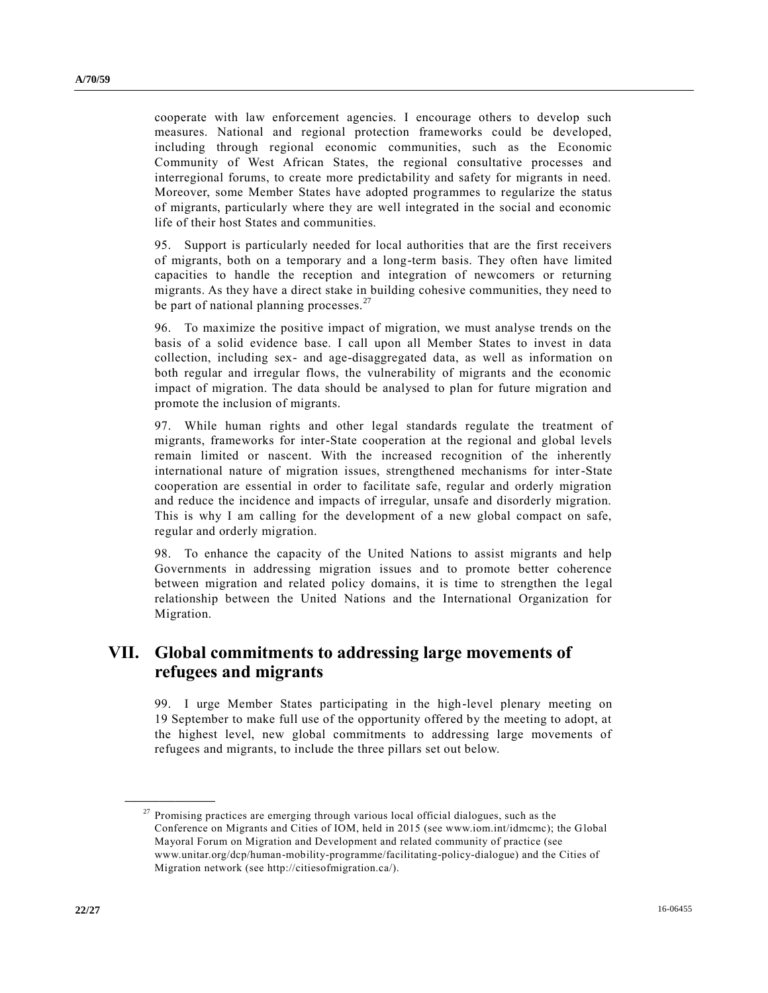cooperate with law enforcement agencies. I encourage others to develop such measures. National and regional protection frameworks could be developed, including through regional economic communities, such as the Economic Community of West African States, the regional consultative processes and interregional forums, to create more predictability and safety for migrants in need. Moreover, some Member States have adopted programmes to regularize the status of migrants, particularly where they are well integrated in the social and economic life of their host States and communities.

95. Support is particularly needed for local authorities that are the first receivers of migrants, both on a temporary and a long-term basis. They often have limited capacities to handle the reception and integration of newcomers or returning migrants. As they have a direct stake in building cohesive communities, they need to be part of national planning processes. $27$ 

96. To maximize the positive impact of migration, we must analyse trends on the basis of a solid evidence base. I call upon all Member States to invest in data collection, including sex- and age-disaggregated data, as well as information on both regular and irregular flows, the vulnerability of migrants and the economic impact of migration. The data should be analysed to plan for future migration and promote the inclusion of migrants.

97. While human rights and other legal standards regulate the treatment of migrants, frameworks for inter-State cooperation at the regional and global levels remain limited or nascent. With the increased recognition of the inherently international nature of migration issues, strengthened mechanisms for inter-State cooperation are essential in order to facilitate safe, regular and orderly migration and reduce the incidence and impacts of irregular, unsafe and disorderly migration. This is why I am calling for the development of a new global compact on safe, regular and orderly migration.

98. To enhance the capacity of the United Nations to assist migrants and help Governments in addressing migration issues and to promote better coherence between migration and related policy domains, it is time to strengthen the legal relationship between the United Nations and the International Organization for Migration.

# **VII. Global commitments to addressing large movements of refugees and migrants**

99. I urge Member States participating in the high-level plenary meeting on 19 September to make full use of the opportunity offered by the meeting to adopt, at the highest level, new global commitments to addressing large movements of refugees and migrants, to include the three pillars set out below.

<sup>&</sup>lt;sup>27</sup> Promising practices are emerging through various local official dialogues, such as the Conference on Migrants and Cities of IOM, held in 2015 (see www.iom.int/idmcmc); the Global Mayoral Forum on Migration and Development and related community of practice (see www.unitar.org/dcp/human-mobility-programme/facilitating-policy-dialogue) and the Cities of Migration network (see http://citiesofmigration.ca/).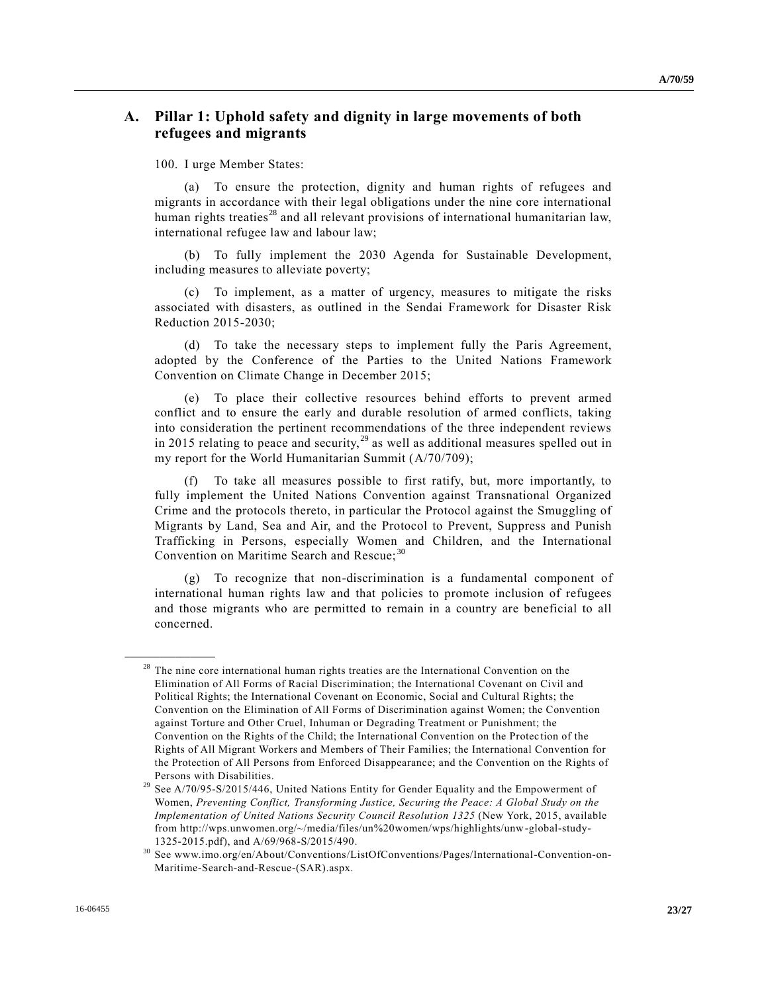### **A. Pillar 1: Uphold safety and dignity in large movements of both refugees and migrants**

100. I urge Member States:

(a) To ensure the protection, dignity and human rights of refugees and migrants in accordance with their legal obligations under the nine core international human rights treaties<sup>28</sup> and all relevant provisions of international humanitarian law, international refugee law and labour law;

(b) To fully implement the 2030 Agenda for Sustainable Development, including measures to alleviate poverty;

(c) To implement, as a matter of urgency, measures to mitigate the risks associated with disasters, as outlined in the Sendai Framework for Disaster Risk Reduction 2015-2030;

(d) To take the necessary steps to implement fully the Paris Agreement, adopted by the Conference of the Parties to the United Nations Framework Convention on Climate Change in December 2015;

(e) To place their collective resources behind efforts to prevent armed conflict and to ensure the early and durable resolution of armed conflicts, taking into consideration the pertinent recommendations of the three independent reviews in 2015 relating to peace and security,  $^{29}$  as well as additional measures spelled out in my report for the World Humanitarian Summit [\(A/70/709\)](http://undocs.org/A/70/709);

(f) To take all measures possible to first ratify, but, more importantly, to fully implement the United Nations Convention against Transnational Organized Crime and the protocols thereto, in particular the Protocol against the Smuggling of Migrants by Land, Sea and Air, and the Protocol to Prevent, Suppress and Punish Trafficking in Persons, especially Women and Children, and the International Convention on Maritime Search and Rescue;<sup>30</sup>

To recognize that non-discrimination is a fundamental component of international human rights law and that policies to promote inclusion of refugees and those migrants who are permitted to remain in a country are beneficial to all concerned.

<sup>&</sup>lt;sup>28</sup> The nine core international human rights treaties are the International Convention on the Elimination of All Forms of Racial Discrimination; the International Covenant on Civil and Political Rights; the International Covenant on Economic, Social and Cultural Rights; the Convention on the Elimination of All Forms of Discrimination against Women; the Convention against Torture and Other Cruel, Inhuman or Degrading Treatment or Punishment; the Convention on the Rights of the Child; the International Convention on the Protec tion of the Rights of All Migrant Workers and Members of Their Families; the International Convention for the Protection of All Persons from Enforced Disappearance; and the Convention on the Rights of Persons with Disabilities.

<sup>&</sup>lt;sup>29</sup> Se[e A/70/95-S/2015/446,](http://undocs.org/A/70/95) United Nations Entity for Gender Equality and the Empowerment of Women, *Preventing Conflict, Transforming Justice, Securing the Peace: A Global Study on the Implementation of United Nations Security Council Resolution 1325* (New York, 2015, available from http://wps.unwomen.org/~/media/files/un%20women/wps/highlights/unw-global-study-1325-2015.pdf), an[d A/69/968-S/2015/490.](http://undocs.org/A/69/968-S/2015/490)

See www.imo.org/en/About/Conventions/ListOfConventions/Pages/International-Convention-on-Maritime-Search-and-Rescue-(SAR).aspx.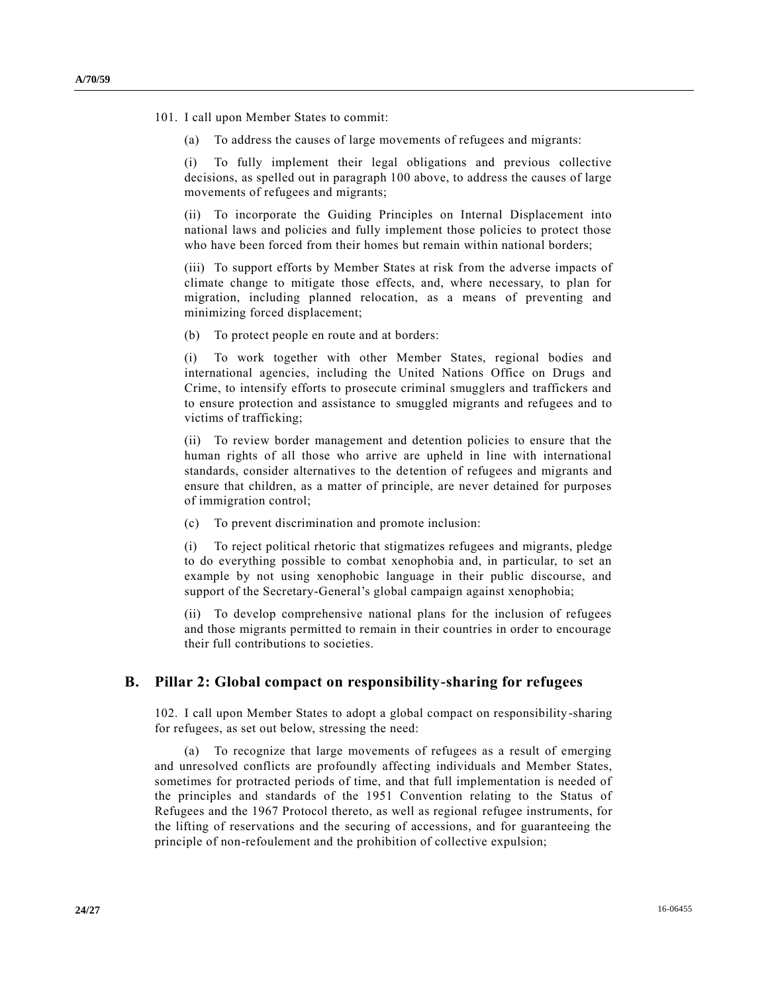- 101. I call upon Member States to commit:
	- (a) To address the causes of large movements of refugees and migrants:

(i) To fully implement their legal obligations and previous collective decisions, as spelled out in paragraph 100 above, to address the causes of large movements of refugees and migrants;

(ii) To incorporate the Guiding Principles on Internal Displacement into national laws and policies and fully implement those policies to protect those who have been forced from their homes but remain within national borders;

(iii) To support efforts by Member States at risk from the adverse impacts of climate change to mitigate those effects, and, where necessary, to plan for migration, including planned relocation, as a means of preventing and minimizing forced displacement;

(b) To protect people en route and at borders:

(i) To work together with other Member States, regional bodies and international agencies, including the United Nations Office on Drugs and Crime, to intensify efforts to prosecute criminal smugglers and traffickers and to ensure protection and assistance to smuggled migrants and refugees and to victims of trafficking;

(ii) To review border management and detention policies to ensure that the human rights of all those who arrive are upheld in line with international standards, consider alternatives to the detention of refugees and migrants and ensure that children, as a matter of principle, are never detained for purposes of immigration control;

(c) To prevent discrimination and promote inclusion:

(i) To reject political rhetoric that stigmatizes refugees and migrants, pledge to do everything possible to combat xenophobia and, in particular, to set an example by not using xenophobic language in their public discourse, and support of the Secretary-General's global campaign against xenophobia;

(ii) To develop comprehensive national plans for the inclusion of refugees and those migrants permitted to remain in their countries in order to encourage their full contributions to societies.

### **B. Pillar 2: Global compact on responsibility-sharing for refugees**

102. I call upon Member States to adopt a global compact on responsibility-sharing for refugees, as set out below, stressing the need:

(a) To recognize that large movements of refugees as a result of emerging and unresolved conflicts are profoundly affecting individuals and Member States, sometimes for protracted periods of time, and that full implementation is needed of the principles and standards of the 1951 Convention relating to the Status of Refugees and the 1967 Protocol thereto, as well as regional refugee instruments, for the lifting of reservations and the securing of accessions, and for guaranteeing the principle of non-refoulement and the prohibition of collective expulsion;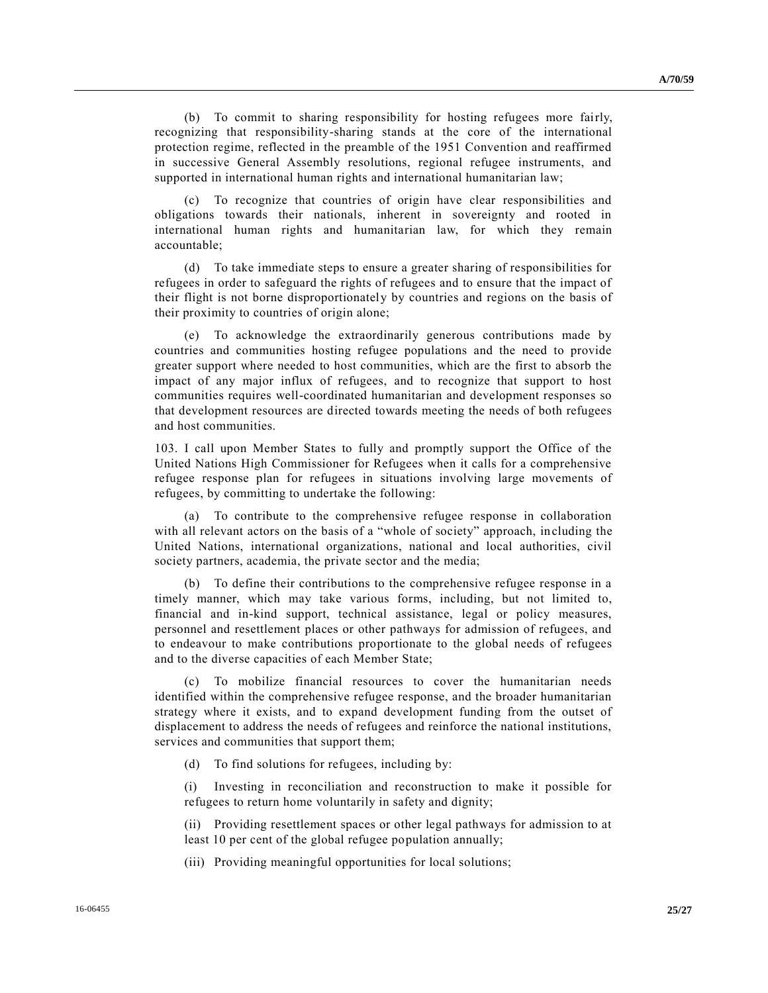(b) To commit to sharing responsibility for hosting refugees more fairly, recognizing that responsibility-sharing stands at the core of the international protection regime, reflected in the preamble of the 1951 Convention and reaffirmed in successive General Assembly resolutions, regional refugee instruments, and supported in international human rights and international humanitarian law;

(c) To recognize that countries of origin have clear responsibilities and obligations towards their nationals, inherent in sovereignty and rooted in international human rights and humanitarian law, for which they remain accountable;

(d) To take immediate steps to ensure a greater sharing of responsibilities for refugees in order to safeguard the rights of refugees and to ensure that the impact of their flight is not borne disproportionately by countries and regions on the basis of their proximity to countries of origin alone;

(e) To acknowledge the extraordinarily generous contributions made by countries and communities hosting refugee populations and the need to provide greater support where needed to host communities, which are the first to absorb the impact of any major influx of refugees, and to recognize that support to host communities requires well-coordinated humanitarian and development responses so that development resources are directed towards meeting the needs of both refugees and host communities.

103. I call upon Member States to fully and promptly support the Office of the United Nations High Commissioner for Refugees when it calls for a comprehensive refugee response plan for refugees in situations involving large movements of refugees, by committing to undertake the following:

(a) To contribute to the comprehensive refugee response in collaboration with all relevant actors on the basis of a "whole of society" approach, including the United Nations, international organizations, national and local authorities, civil society partners, academia, the private sector and the media;

(b) To define their contributions to the comprehensive refugee response in a timely manner, which may take various forms, including, but not limited to, financial and in-kind support, technical assistance, legal or policy measures, personnel and resettlement places or other pathways for admission of refugees, and to endeavour to make contributions proportionate to the global needs of refugees and to the diverse capacities of each Member State;

(c) To mobilize financial resources to cover the humanitarian needs identified within the comprehensive refugee response, and the broader humanitarian strategy where it exists, and to expand development funding from the outset of displacement to address the needs of refugees and reinforce the national institutions, services and communities that support them;

(d) To find solutions for refugees, including by:

(i) Investing in reconciliation and reconstruction to make it possible for refugees to return home voluntarily in safety and dignity;

(ii) Providing resettlement spaces or other legal pathways for admission to at least 10 per cent of the global refugee population annually;

(iii) Providing meaningful opportunities for local solutions;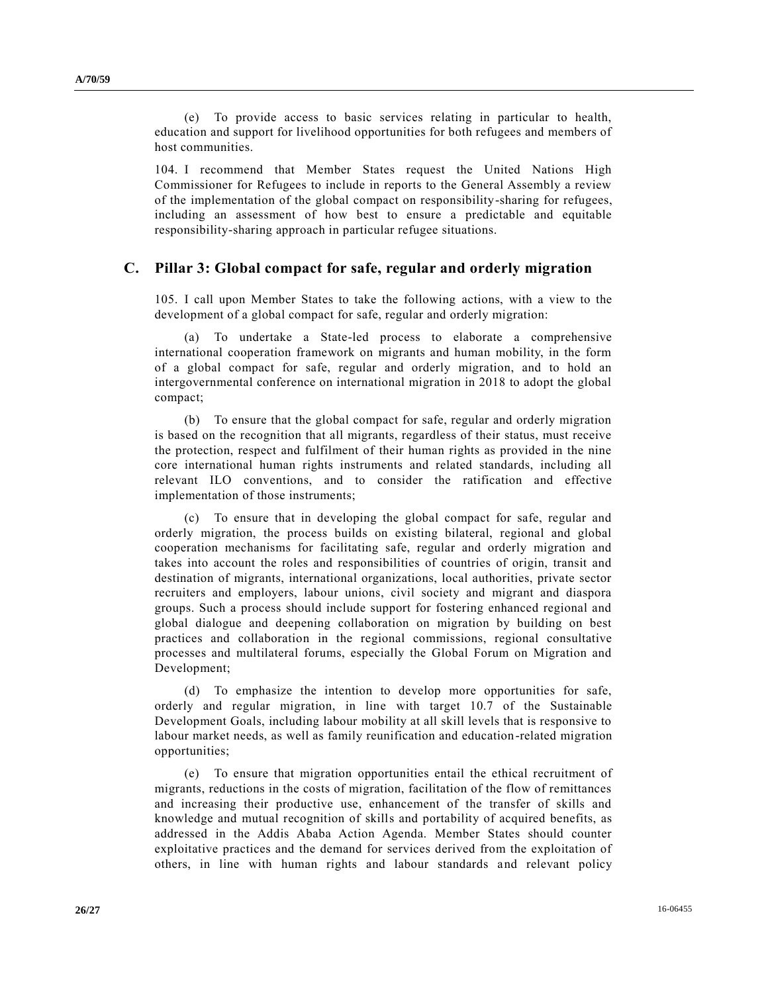(e) To provide access to basic services relating in particular to health, education and support for livelihood opportunities for both refugees and members of host communities.

104. I recommend that Member States request the United Nations High Commissioner for Refugees to include in reports to the General Assembly a review of the implementation of the global compact on responsibility-sharing for refugees, including an assessment of how best to ensure a predictable and equitable responsibility-sharing approach in particular refugee situations.

#### **C. Pillar 3: Global compact for safe, regular and orderly migration**

105. I call upon Member States to take the following actions, with a view to the development of a global compact for safe, regular and orderly migration:

(a) To undertake a State-led process to elaborate a comprehensive international cooperation framework on migrants and human mobility, in the form of a global compact for safe, regular and orderly migration, and to hold an intergovernmental conference on international migration in 2018 to adopt the global compact;

(b) To ensure that the global compact for safe, regular and orderly migration is based on the recognition that all migrants, regardless of their status, must receive the protection, respect and fulfilment of their human rights as provided in the nine core international human rights instruments and related standards, including all relevant ILO conventions, and to consider the ratification and effective implementation of those instruments;

(c) To ensure that in developing the global compact for safe, regular and orderly migration, the process builds on existing bilateral, regional and global cooperation mechanisms for facilitating safe, regular and orderly migration and takes into account the roles and responsibilities of countries of origin, transit and destination of migrants, international organizations, local authorities, private sector recruiters and employers, labour unions, civil society and migrant and diaspora groups. Such a process should include support for fostering enhanced regional and global dialogue and deepening collaboration on migration by building on best practices and collaboration in the regional commissions, regional consultative processes and multilateral forums, especially the Global Forum on Migration and Development;

(d) To emphasize the intention to develop more opportunities for safe, orderly and regular migration, in line with target 10.7 of the Sustainable Development Goals, including labour mobility at all skill levels that is responsive to labour market needs, as well as family reunification and education-related migration opportunities;

(e) To ensure that migration opportunities entail the ethical recruitment of migrants, reductions in the costs of migration, facilitation of the flow of remittances and increasing their productive use, enhancement of the transfer of skills and knowledge and mutual recognition of skills and portability of acquired benefits, as addressed in the Addis Ababa Action Agenda. Member States should counter exploitative practices and the demand for services derived from the exploitation of others, in line with human rights and labour standards and relevant policy